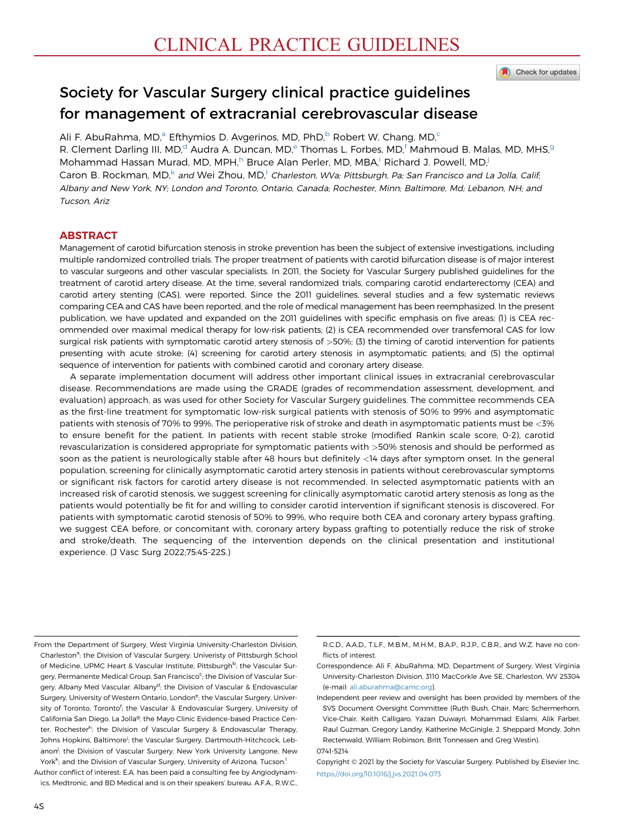#### Check for updates

# Society for Vascular Surgery clinical practice guidelines for management of extracranial cerebrovascular disease

Ali F. AbuRahma, MD,<sup>a</sup> Efthymios D. Avgerinos, MD, PhD,<sup>b</sup> Robert W. Chang, MD,<sup>c</sup> R. Clement Darling III, MD,<sup>d</sup> Audra A. Duncan, MD,<sup>e</sup> Thomas L. Forbes, MD,<sup>f</sup> Mahmoud B. Malas, MD, MHS,<sup>g</sup> Mohammad Hassan Murad, MD, MPH, $^h$  Bruce Alan Perler, MD, MBA,<sup>i</sup> Richard J. Powell, MD,<sup>j</sup> Caron B. Rockman, MD,<sup>k</sup> and Wei Zhou, MD,<sup>l</sup> Charleston, WVa; Pittsburgh, Pa; San Francisco and La Jolla, Calif; Albany and New York, NY; London and Toronto, Ontario, Canada; Rochester, Minn; Baltimore, Md; Lebanon, NH; and Tucson, Ariz

## **ABSTRACT**

Management of carotid bifurcation stenosis in stroke prevention has been the subject of extensive investigations, including multiple randomized controlled trials. The proper treatment of patients with carotid bifurcation disease is of major interest to vascular surgeons and other vascular specialists. In 2011, the Society for Vascular Surgery published guidelines for the treatment of carotid artery disease. At the time, several randomized trials, comparing carotid endarterectomy (CEA) and carotid artery stenting (CAS), were reported. Since the 2011 guidelines, several studies and a few systematic reviews comparing CEA and CAS have been reported, and the role of medical management has been reemphasized. In the present publication, we have updated and expanded on the 2011 guidelines with specific emphasis on five areas: (1) is CEA recommended over maximal medical therapy for low-risk patients; (2) is CEA recommended over transfemoral CAS for low surgical risk patients with symptomatic carotid artery stenosis of >50%; (3) the timing of carotid intervention for patients presenting with acute stroke; (4) screening for carotid artery stenosis in asymptomatic patients; and (5) the optimal sequence of intervention for patients with combined carotid and coronary artery disease.

A separate implementation document will address other important clinical issues in extracranial cerebrovascular disease. Recommendations are made using the GRADE (grades of recommendation assessment, development, and evaluation) approach, as was used for other Society for Vascular Surgery guidelines. The committee recommends CEA as the first-line treatment for symptomatic low-risk surgical patients with stenosis of 50% to 99% and asymptomatic patients with stenosis of 70% to 99%. The perioperative risk of stroke and death in asymptomatic patients must be <3% to ensure benefit for the patient. In patients with recent stable stroke (modified Rankin scale score, 0-2), carotid revascularization is considered appropriate for symptomatic patients with >50% stenosis and should be performed as soon as the patient is neurologically stable after 48 hours but definitely <14 days after symptom onset. In the general population, screening for clinically asymptomatic carotid artery stenosis in patients without cerebrovascular symptoms or significant risk factors for carotid artery disease is not recommended. In selected asymptomatic patients with an increased risk of carotid stenosis, we suggest screening for clinically asymptomatic carotid artery stenosis as long as the patients would potentially be fit for and willing to consider carotid intervention if significant stenosis is discovered. For patients with symptomatic carotid stenosis of 50% to 99%, who require both CEA and coronary artery bypass grafting, we suggest CEA before, or concomitant with, coronary artery bypass grafting to potentially reduce the risk of stroke and stroke/death. The sequencing of the intervention depends on the clinical presentation and institutional experience. (J Vasc Surg 2022;75:4S-22S.)

Author conflict of interest: E.A. has been paid a consulting fee by Angiodynamics, Medtronic, and BD Medical and is on their speakers' bureau. A.F.A., R.W.C.,

From the Department of Surgery, West Virginia University-Charleston Division, Charleston<sup>a</sup>; the Division of Vascular Surgery, Univeristy of Pittsburgh School of Medicine, UPMC Heart & Vascular Institute, Pittsburgh<sup>b</sup>; the Vascular Surgery, Permanente Medical Group, San Francisco<sup>c</sup>; the Division of Vascular Surgery, Albany Med Vascular, Albany<sup>d</sup>; the Division of Vascular & Endovascular Surgery, University of Western Ontario, London<sup>e</sup>; the Vascular Surgery, University of Toronto, Toronto<sup>f</sup>; the Vascular & Endovascular Surgery, University of California San Diego, La Jolla<sup>g</sup>; the Mayo Clinic Evidence-based Practice Center, Rochester<sup>h</sup>; the Division of Vascular Surgery & Endovascular Therapy, Johns Hopkins, Baltimore<sup>i</sup>; the Vascular Surgery, Dartmouth-Hitchcock, Lebanon<sup>j</sup>; the Division of Vascular Surgery, New York University Langone, New York<sup>k</sup>; and the Division of Vascular Surgery, University of Arizona, Tucson.<sup>!</sup>

R.C.D., A.A.D., T.L.F., M.B.M., M.H.M., B.A.P., R.J.P., C.B.R., and W.Z. have no conflicts of interest.

Correspondence: Ali F. AbuRahma, MD, Department of Surgery, West Virginia University-Charleston Division, 3110 MacCorkle Ave SE, Charleston, WV 25304 (e-mail: [ali.aburahma@camc.org\)](mailto:ali.aburahma@camc.org).

Independent peer review and oversight has been provided by members of the SVS Document Oversight Committee (Ruth Bush, Chair, Marc Schermerhorn, Vice-Chair, Keith Calligaro, Yazan Duwayri, Mohammad Eslami, Alik Farber, Raul Guzman, Gregory Landry, Katherine McGinigle, J. Sheppard Mondy, John Rectenwald, William Robinson, Britt Tonnessen and Greg Westin). 0741-5214

Copyright 2021 by the Society for Vascular Surgery. Published by Elsevier Inc. <https://doi.org/10.1016/j.jvs.2021.04.073>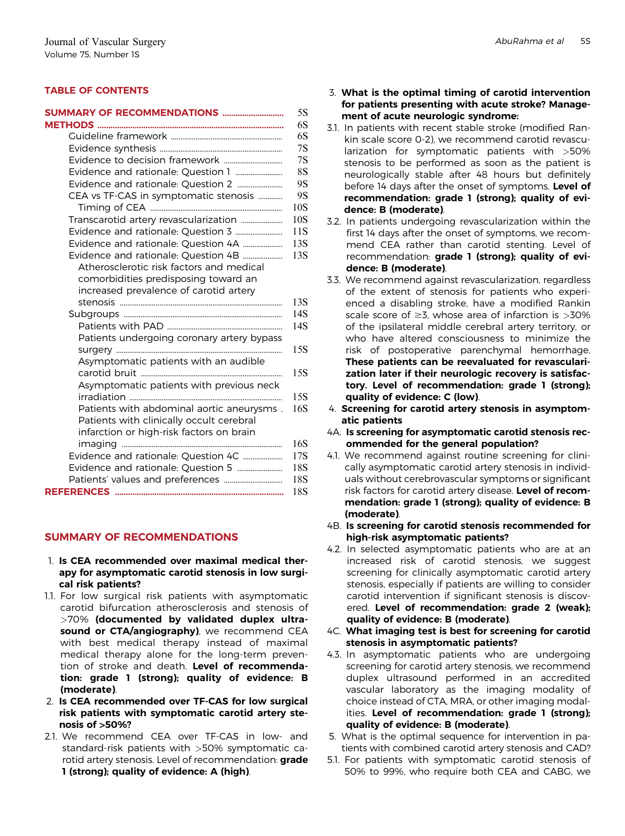## TABLE OF CONTENTS

| SUMMARY OF RECOMMENDATIONS                 |                 |
|--------------------------------------------|-----------------|
|                                            |                 |
|                                            |                 |
|                                            |                 |
|                                            |                 |
|                                            |                 |
| CEA vs TF-CAS in symptomatic stenosis      | 10 <sub>S</sub> |
| Transcarotid artery revascularization      | 10S             |
|                                            | 11S             |
| Evidence and rationale: Question 4A        | 13S             |
| Evidence and rationale: Question 4B        | 13S             |
| Atherosclerotic risk factors and medical   |                 |
| comorbidities predisposing toward an       |                 |
| increased prevalence of carotid artery     |                 |
|                                            | 13S             |
|                                            | 14S             |
|                                            | 14S             |
| Patients undergoing coronary artery bypass |                 |
|                                            | 15S             |
| Asymptomatic patients with an audible      | 15S             |
|                                            |                 |
| Asymptomatic patients with previous neck   | 15S             |
| Patients with abdominal aortic aneurysms.  | 16S             |
| Patients with clinically occult cerebral   |                 |
| infarction or high-risk factors on brain   |                 |
|                                            | 16S             |
| Evidence and rationale: Question 4C        | 17S             |
|                                            | 18S             |
|                                            | 18S             |
|                                            | 18S             |
|                                            |                 |

## SUMMARY OF RECOMMENDATIONS

- 1. Is CEA recommended over maximal medical therapy for asymptomatic carotid stenosis in low surgical risk patients?
- 1.1. For low surgical risk patients with asymptomatic carotid bifurcation atherosclerosis and stenosis of >70% (documented by validated duplex ultrasound or CTA/angiography), we recommend CEA with best medical therapy instead of maximal medical therapy alone for the long-term prevention of stroke and death. Level of recommendation: grade 1 (strong); quality of evidence: B (moderate).
- 2. Is CEA recommended over TF-CAS for low surgical risk patients with symptomatic carotid artery stenosis of >50%?
- 2.1. We recommend CEA over TF-CAS in low- and standard-risk patients with >50% symptomatic carotid artery stenosis. Level of recommendation: **grade** 1 (strong); quality of evidence: A (high).
- 3. What is the optimal timing of carotid intervention for patients presenting with acute stroke? Management of acute neurologic syndrome:
- 3.1. In patients with recent stable stroke (modified Rankin scale score 0-2), we recommend carotid revascularization for symptomatic patients with >50% stenosis to be performed as soon as the patient is neurologically stable after 48 hours but definitely before 14 days after the onset of symptoms. Level of recommendation: grade 1 (strong); quality of evidence: B (moderate).
- 3.2. In patients undergoing revascularization within the first 14 days after the onset of symptoms, we recommend CEA rather than carotid stenting. Level of recommendation: grade 1 (strong); quality of evidence: B (moderate).
- 3.3. We recommend against revascularization, regardless of the extent of stenosis for patients who experienced a disabling stroke, have a modified Rankin scale score of  $\geq$ 3, whose area of infarction is  $>$ 30% of the ipsilateral middle cerebral artery territory, or who have altered consciousness to minimize the risk of postoperative parenchymal hemorrhage. These patients can be reevaluated for revascularization later if their neurologic recovery is satisfactory. Level of recommendation: grade 1 (strong); quality of evidence: C (low).
- 4. Screening for carotid artery stenosis in asymptomatic patients
- 4A. Is screening for asymptomatic carotid stenosis recommended for the general population?
- 4.1. We recommend against routine screening for clinically asymptomatic carotid artery stenosis in individuals without cerebrovascular symptoms or significant risk factors for carotid artery disease. Level of recommendation: grade 1 (strong); quality of evidence: B (moderate).
- 4B. Is screening for carotid stenosis recommended for high-risk asymptomatic patients?
- 4.2. In selected asymptomatic patients who are at an increased risk of carotid stenosis, we suggest screening for clinically asymptomatic carotid artery stenosis, especially if patients are willing to consider carotid intervention if significant stenosis is discovered. Level of recommendation: grade 2 (weak); quality of evidence: B (moderate).
- 4C. What imaging test is best for screening for carotid stenosis in asymptomatic patients?
- 4.3. In asymptomatic patients who are undergoing screening for carotid artery stenosis, we recommend duplex ultrasound performed in an accredited vascular laboratory as the imaging modality of choice instead of CTA, MRA, or other imaging modalities. Level of recommendation: grade 1 (strong); quality of evidence: B (moderate).
- 5. What is the optimal sequence for intervention in patients with combined carotid artery stenosis and CAD?
- 5.1. For patients with symptomatic carotid stenosis of 50% to 99%, who require both CEA and CABG, we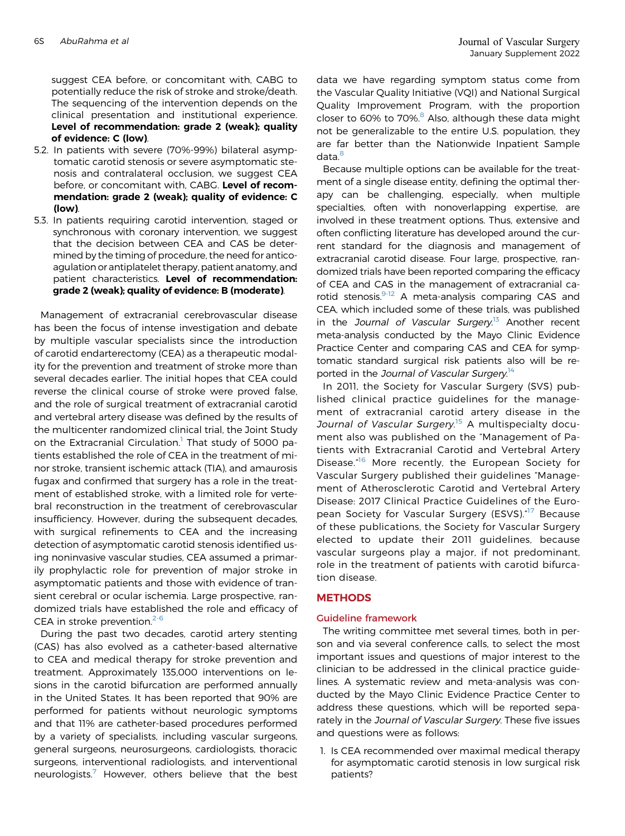suggest CEA before, or concomitant with, CABG to potentially reduce the risk of stroke and stroke/death. The sequencing of the intervention depends on the clinical presentation and institutional experience. Level of recommendation: grade 2 (weak); quality of evidence: C (low).

- 5.2. In patients with severe (70%-99%) bilateral asymptomatic carotid stenosis or severe asymptomatic stenosis and contralateral occlusion, we suggest CEA before, or concomitant with, CABG. Level of recommendation: grade 2 (weak); quality of evidence: C (low).
- 5.3. In patients requiring carotid intervention, staged or synchronous with coronary intervention, we suggest that the decision between CEA and CAS be determined by the timing of procedure, the need for anticoagulation or antiplatelet therapy, patient anatomy, and patient characteristics. Level of recommendation: grade 2 (weak); quality of evidence: B (moderate).

Management of extracranial cerebrovascular disease has been the focus of intense investigation and debate by multiple vascular specialists since the introduction of carotid endarterectomy (CEA) as a therapeutic modality for the prevention and treatment of stroke more than several decades earlier. The initial hopes that CEA could reverse the clinical course of stroke were proved false, and the role of surgical treatment of extracranial carotid and vertebral artery disease was defined by the results of the multicenter randomized clinical trial, the Joint Study on the Extracranial Circulation.<sup>[1](#page-14-0)</sup> That study of 5000 patients established the role of CEA in the treatment of minor stroke, transient ischemic attack (TIA), and amaurosis fugax and confirmed that surgery has a role in the treatment of established stroke, with a limited role for vertebral reconstruction in the treatment of cerebrovascular insufficiency. However, during the subsequent decades, with surgical refinements to CEA and the increasing detection of asymptomatic carotid stenosis identified using noninvasive vascular studies, CEA assumed a primarily prophylactic role for prevention of major stroke in asymptomatic patients and those with evidence of transient cerebral or ocular ischemia. Large prospective, randomized trials have established the role and efficacy of CEA in stroke prevention. $2-6$ 

During the past two decades, carotid artery stenting (CAS) has also evolved as a catheter-based alternative to CEA and medical therapy for stroke prevention and treatment. Approximately 135,000 interventions on lesions in the carotid bifurcation are performed annually in the United States. It has been reported that 90% are performed for patients without neurologic symptoms and that 11% are catheter-based procedures performed by a variety of specialists, including vascular surgeons, general surgeons, neurosurgeons, cardiologists, thoracic surgeons, interventional radiologists, and interventional neurologists.<sup>[7](#page-14-2)</sup> However, others believe that the best data we have regarding symptom status come from the Vascular Quality Initiative (VQI) and National Surgical Quality Improvement Program, with the proportion closer to 60% to 70%. $8$  Also, although these data might not be generalizable to the entire U.S. population, they are far better than the Nationwide Inpatient Sample data.<sup>[8](#page-14-3)</sup>

Because multiple options can be available for the treatment of a single disease entity, defining the optimal therapy can be challenging, especially, when multiple specialties, often with nonoverlapping expertise, are involved in these treatment options. Thus, extensive and often conflicting literature has developed around the current standard for the diagnosis and management of extracranial carotid disease. Four large, prospective, randomized trials have been reported comparing the efficacy of CEA and CAS in the management of extracranial carotid stenosis.<sup>9-12</sup> A meta-analysis comparing CAS and CEA, which included some of these trials, was published in the Journal of Vascular Surgery.<sup>[13](#page-15-0)</sup> Another recent meta-analysis conducted by the Mayo Clinic Evidence Practice Center and comparing CAS and CEA for symptomatic standard surgical risk patients also will be re-ported in the Journal of Vascular Surgery.<sup>[14](#page-15-1)</sup>

In 2011, the Society for Vascular Surgery (SVS) published clinical practice guidelines for the management of extracranial carotid artery disease in the Journal of Vascular Surgery.<sup>[15](#page-15-2)</sup> A multispecialty document also was published on the "Management of Patients with Extracranial Carotid and Vertebral Artery Disease.<sup>46</sup> More recently, the European Society for Vascular Surgery published their guidelines "Management of Atherosclerotic Carotid and Vertebral Artery Disease: 2017 Clinical Practice Guidelines of the Euro-pean Society for Vascular Surgery (ESVS).<sup>"[17](#page-15-4)</sup> Because of these publications, the Society for Vascular Surgery elected to update their 2011 guidelines, because vascular surgeons play a major, if not predominant, role in the treatment of patients with carotid bifurcation disease.

## **METHODS**

## Guideline framework

The writing committee met several times, both in person and via several conference calls, to select the most important issues and questions of major interest to the clinician to be addressed in the clinical practice guidelines. A systematic review and meta-analysis was conducted by the Mayo Clinic Evidence Practice Center to address these questions, which will be reported separately in the Journal of Vascular Surgery. These five issues and questions were as follows:

1. Is CEA recommended over maximal medical therapy for asymptomatic carotid stenosis in low surgical risk patients?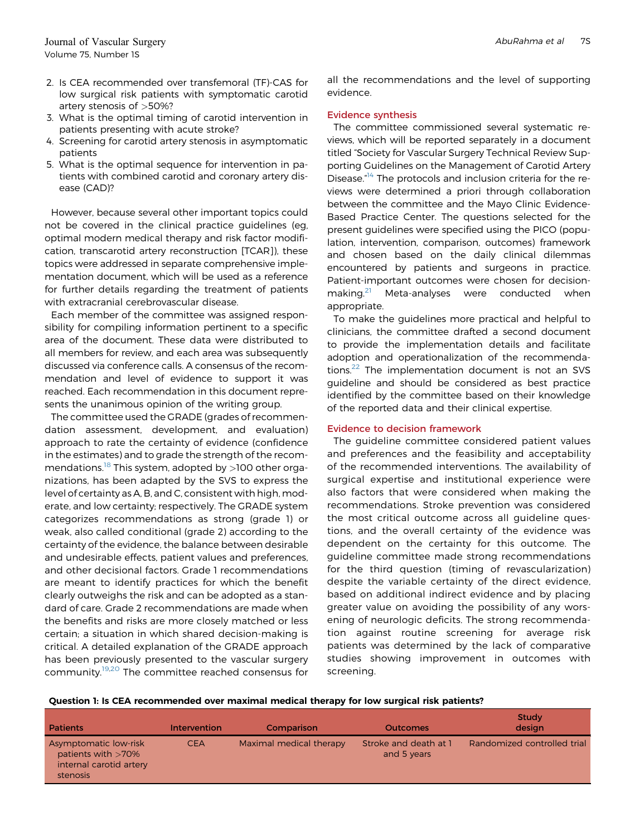- 3. What is the optimal timing of carotid intervention in patients presenting with acute stroke?
- 4. Screening for carotid artery stenosis in asymptomatic patients
- 5. What is the optimal sequence for intervention in patients with combined carotid and coronary artery disease (CAD)?

However, because several other important topics could not be covered in the clinical practice guidelines (eg, optimal modern medical therapy and risk factor modification, transcarotid artery reconstruction [TCAR]), these topics were addressed in separate comprehensive implementation document, which will be used as a reference for further details regarding the treatment of patients with extracranial cerebrovascular disease.

Each member of the committee was assigned responsibility for compiling information pertinent to a specific area of the document. These data were distributed to all members for review, and each area was subsequently discussed via conference calls. A consensus of the recommendation and level of evidence to support it was reached. Each recommendation in this document represents the unanimous opinion of the writing group.

The committee used the GRADE (grades of recommendation assessment, development, and evaluation) approach to rate the certainty of evidence (confidence in the estimates) and to grade the strength of the recom-mendations.<sup>[18](#page-15-5)</sup> This system, adopted by  $>100$  other organizations, has been adapted by the SVS to express the level of certainty as A, B, and C, consistent with high, moderate, and low certainty; respectively. The GRADE system categorizes recommendations as strong (grade 1) or weak, also called conditional (grade 2) according to the certainty of the evidence, the balance between desirable and undesirable effects, patient values and preferences, and other decisional factors. Grade 1 recommendations are meant to identify practices for which the benefit clearly outweighs the risk and can be adopted as a standard of care. Grade 2 recommendations are made when the benefits and risks are more closely matched or less certain; a situation in which shared decision-making is critical. A detailed explanation of the GRADE approach has been previously presented to the vascular surgery community.[19](#page-15-6)[,20](#page-15-7) The committee reached consensus for all the recommendations and the level of supporting evidence.

### Evidence synthesis

The committee commissioned several systematic reviews, which will be reported separately in a document titled "Society for Vascular Surgery Technical Review Supporting Guidelines on the Management of Carotid Artery Disease.<sup>4[14](#page-15-1)</sup> The protocols and inclusion criteria for the reviews were determined a priori through collaboration between the committee and the Mayo Clinic Evidence-Based Practice Center. The questions selected for the present guidelines were specified using the PICO (population, intervention, comparison, outcomes) framework and chosen based on the daily clinical dilemmas encountered by patients and surgeons in practice. Patient-important outcomes were chosen for decision-making.<sup>[21](#page-15-8)</sup> Meta-analyses were conducted when appropriate.

To make the guidelines more practical and helpful to clinicians, the committee drafted a second document to provide the implementation details and facilitate adoption and operationalization of the recommenda-tions.<sup>[22](#page-15-9)</sup> The implementation document is not an SVS guideline and should be considered as best practice identified by the committee based on their knowledge of the reported data and their clinical expertise.

## Evidence to decision framework

The guideline committee considered patient values and preferences and the feasibility and acceptability of the recommended interventions. The availability of surgical expertise and institutional experience were also factors that were considered when making the recommendations. Stroke prevention was considered the most critical outcome across all guideline questions, and the overall certainty of the evidence was dependent on the certainty for this outcome. The guideline committee made strong recommendations for the third question (timing of revascularization) despite the variable certainty of the direct evidence, based on additional indirect evidence and by placing greater value on avoiding the possibility of any worsening of neurologic deficits. The strong recommendation against routine screening for average risk patients was determined by the lack of comparative studies showing improvement in outcomes with screening.

Question 1: Is CEA recommended over maximal medical therapy for low surgical risk patients?

| Patients                                                                              | Intervention | Comparison              | <b>Outcomes</b>                      | Study<br>design             |
|---------------------------------------------------------------------------------------|--------------|-------------------------|--------------------------------------|-----------------------------|
| Asymptomatic low-risk<br>patients with $>70\%$<br>internal carotid artery<br>stenosis | <b>CEA</b>   | Maximal medical therapy | Stroke and death at 1<br>and 5 years | Randomized controlled trial |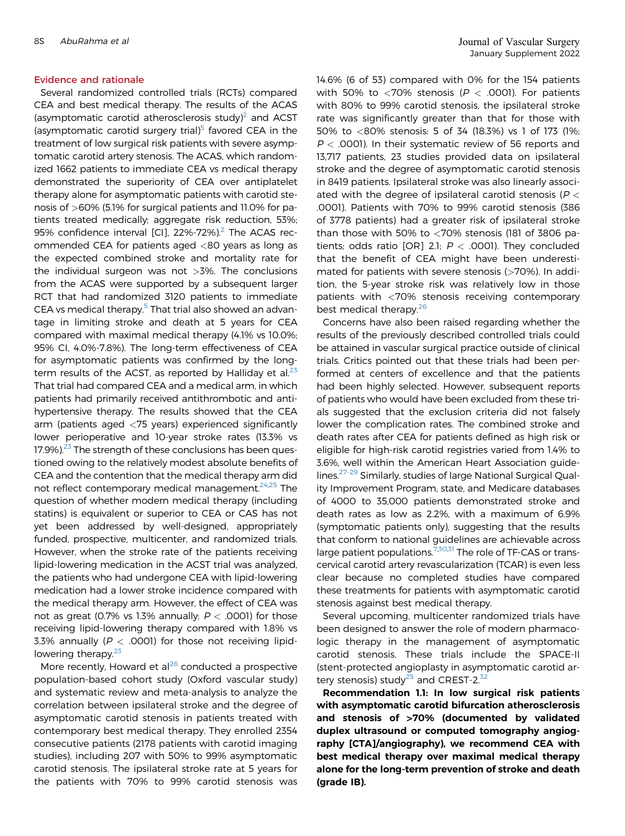Several randomized controlled trials (RCTs) compared CEA and best medical therapy. The results of the ACAS (asymptomatic carotid atherosclerosis study)<sup>2</sup> and ACST (asymptomatic carotid surgery trial)<sup>[5](#page-14-5)</sup> favored CEA in the treatment of low surgical risk patients with severe asymptomatic carotid artery stenosis. The ACAS, which randomized 1662 patients to immediate CEA vs medical therapy demonstrated the superiority of CEA over antiplatelet therapy alone for asymptomatic patients with carotid stenosis of >60% (5.1% for surgical patients and 11.0% for patients treated medically; aggregate risk reduction, 53%; 95% confidence interval [CI], 22%-72%).<sup>2</sup> The ACAS recommended CEA for patients aged <80 years as long as the expected combined stroke and mortality rate for the individual surgeon was not >3%. The conclusions from the ACAS were supported by a subsequent larger RCT that had randomized 3120 patients to immediate CEA vs medical therapy.<sup>[5](#page-14-5)</sup> That trial also showed an advantage in limiting stroke and death at 5 years for CEA compared with maximal medical therapy (4.1% vs 10.0%; 95% CI, 4.0%-7.8%). The long-term effectiveness of CEA for asymptomatic patients was confirmed by the longterm results of the ACST, as reported by Halliday et al. $23$ That trial had compared CEA and a medical arm, in which patients had primarily received antithrombotic and antihypertensive therapy. The results showed that the CEA arm (patients aged <75 years) experienced significantly lower perioperative and 10-year stroke rates (13.3% vs  $17.9\%$ ).<sup>[23](#page-15-10)</sup> The strength of these conclusions has been questioned owing to the relatively modest absolute benefits of CEA and the contention that the medical therapy arm did not reflect contemporary medical management. $24,25$  $24,25$  The question of whether modern medical therapy (including statins) is equivalent or superior to CEA or CAS has not yet been addressed by well-designed, appropriately funded, prospective, multicenter, and randomized trials. However, when the stroke rate of the patients receiving lipid-lowering medication in the ACST trial was analyzed, the patients who had undergone CEA with lipid-lowering medication had a lower stroke incidence compared with the medical therapy arm. However, the effect of CEA was not as great (0.7% vs 1.3% annually;  $P < .0001$ ) for those receiving lipid-lowering therapy compared with 1.8% vs 3.3% annually ( $P < .0001$ ) for those not receiving lipid-lowering therapy.<sup>[23](#page-15-10)</sup>

More recently, Howard et al $^{26}$  $^{26}$  $^{26}$  conducted a prospective population-based cohort study (Oxford vascular study) and systematic review and meta-analysis to analyze the correlation between ipsilateral stroke and the degree of asymptomatic carotid stenosis in patients treated with contemporary best medical therapy. They enrolled 2354 consecutive patients (2178 patients with carotid imaging studies), including 207 with 50% to 99% asymptomatic carotid stenosis. The ipsilateral stroke rate at 5 years for the patients with 70% to 99% carotid stenosis was

14.6% (6 of 53) compared with 0% for the 154 patients with 50% to <70% stenosis ( $P < .0001$ ). For patients with 80% to 99% carotid stenosis, the ipsilateral stroke rate was significantly greater than that for those with 50% to <80% stenosis: 5 of 34 (18.3%) vs 1 of 173 (1%;  $P <$  .0001). In their systematic review of 56 reports and 13,717 patients, 23 studies provided data on ipsilateral stroke and the degree of asymptomatic carotid stenosis in 8419 patients. Ipsilateral stroke was also linearly associated with the degree of ipsilateral carotid stenosis ( $P <$ .0001). Patients with 70% to 99% carotid stenosis (386 of 3778 patients) had a greater risk of ipsilateral stroke than those with 50% to  $<$  70% stenosis (181 of 3806 patients; odds ratio [OR] 2.1;  $P < .0001$ ). They concluded that the benefit of CEA might have been underestimated for patients with severe stenosis (>70%). In addition, the 5-year stroke risk was relatively low in those patients with <70% stenosis receiving contemporary best medical therapy.<sup>[26](#page-15-13)</sup>

Concerns have also been raised regarding whether the results of the previously described controlled trials could be attained in vascular surgical practice outside of clinical trials. Critics pointed out that these trials had been performed at centers of excellence and that the patients had been highly selected. However, subsequent reports of patients who would have been excluded from these trials suggested that the exclusion criteria did not falsely lower the complication rates. The combined stroke and death rates after CEA for patients defined as high risk or eligible for high-risk carotid registries varied from 1.4% to 3.6%, well within the American Heart Association guidelines.<sup>27-29</sup> Similarly, studies of large National Surgical Quality Improvement Program, state, and Medicare databases of 4000 to 35,000 patients demonstrated stroke and death rates as low as 2.2%, with a maximum of 6.9% (symptomatic patients only), suggesting that the results that conform to national guidelines are achievable across large patient populations.<sup>[7](#page-14-2),[30](#page-15-15),[31](#page-15-16)</sup> The role of TF-CAS or transcervical carotid artery revascularization (TCAR) is even less clear because no completed studies have compared these treatments for patients with asymptomatic carotid stenosis against best medical therapy.

Several upcoming, multicenter randomized trials have been designed to answer the role of modern pharmacologic therapy in the management of asymptomatic carotid stenosis. These trials include the SPACE-II (stent-protected angioplasty in asymptomatic carotid ar-tery stenosis) study<sup>[25](#page-15-12)</sup> and CREST-2. $32$ 

Recommendation 1.1: In low surgical risk patients with asymptomatic carotid bifurcation atherosclerosis and stenosis of >70% (documented by validated duplex ultrasound or computed tomography angiography [CTA]/angiography), we recommend CEA with best medical therapy over maximal medical therapy alone for the long-term prevention of stroke and death (grade IB).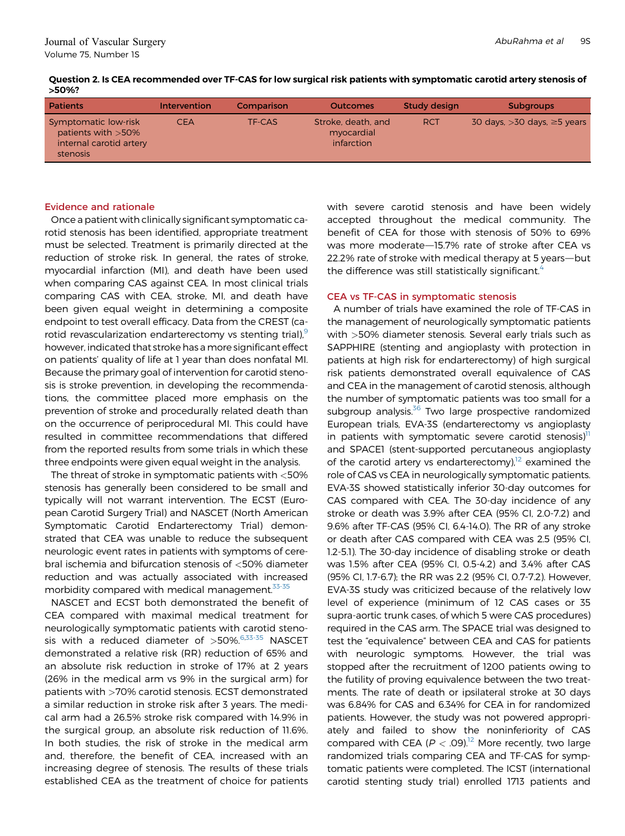| Question 2. Is CEA recommended over TF-CAS for low surgical risk patients with symptomatic carotid artery stenosis of |  |
|-----------------------------------------------------------------------------------------------------------------------|--|
| >50%?                                                                                                                 |  |

| <b>Patients</b>                                                                    | <b>Intervention</b> | Comparison | <b>Outcomes</b>                                | <b>Study design</b> | <b>Subgroups</b>                    |
|------------------------------------------------------------------------------------|---------------------|------------|------------------------------------------------|---------------------|-------------------------------------|
| Symptomatic low-risk<br>patients with > 50%<br>internal carotid artery<br>stenosis | <b>CEA</b>          | TF-CAS     | Stroke, death, and<br>myocardial<br>infarction | <b>RCT</b>          | 30 days, $>30$ days, $\geq$ 5 years |

Once a patient with clinically significant symptomatic carotid stenosis has been identified, appropriate treatment must be selected. Treatment is primarily directed at the reduction of stroke risk. In general, the rates of stroke, myocardial infarction (MI), and death have been used when comparing CAS against CEA. In most clinical trials comparing CAS with CEA, stroke, MI, and death have been given equal weight in determining a composite endpoint to test overall efficacy. Data from the CREST (carotid revascularization endarterectomy vs stenting trial),<sup>9</sup> however, indicated that stroke has amore significant effect on patients' quality of life at 1 year than does nonfatal MI. Because the primary goal of intervention for carotid stenosis is stroke prevention, in developing the recommendations, the committee placed more emphasis on the prevention of stroke and procedurally related death than on the occurrence of periprocedural MI. This could have resulted in committee recommendations that differed from the reported results from some trials in which these three endpoints were given equal weight in the analysis.

The threat of stroke in symptomatic patients with <50% stenosis has generally been considered to be small and typically will not warrant intervention. The ECST (European Carotid Surgery Trial) and NASCET (North American Symptomatic Carotid Endarterectomy Trial) demonstrated that CEA was unable to reduce the subsequent neurologic event rates in patients with symptoms of cerebral ischemia and bifurcation stenosis of <50% diameter reduction and was actually associated with increased morbidity compared with medical management.<sup>33-35</sup>

NASCET and ECST both demonstrated the benefit of CEA compared with maximal medical treatment for neurologically symptomatic patients with carotid stenosis with a reduced diameter of  $>50\%$ .<sup>[6,](#page-14-6)[33-35](#page-15-18)</sup> NASCET demonstrated a relative risk (RR) reduction of 65% and an absolute risk reduction in stroke of 17% at 2 years (26% in the medical arm vs 9% in the surgical arm) for patients with >70% carotid stenosis. ECST demonstrated a similar reduction in stroke risk after 3 years. The medical arm had a 26.5% stroke risk compared with 14.9% in the surgical group, an absolute risk reduction of 11.6%. In both studies, the risk of stroke in the medical arm and, therefore, the benefit of CEA, increased with an increasing degree of stenosis. The results of these trials established CEA as the treatment of choice for patients

with severe carotid stenosis and have been widely accepted throughout the medical community. The benefit of CEA for those with stenosis of 50% to 69% was more moderate-15.7% rate of stroke after CEA vs 22.2% rate of stroke with medical therapy at 5 years—but the difference was still statistically significant.<sup>[4](#page-14-7)</sup>

## CEA vs TF-CAS in symptomatic stenosis

A number of trials have examined the role of TF-CAS in the management of neurologically symptomatic patients with >50% diameter stenosis. Several early trials such as SAPPHIRE (stenting and angioplasty with protection in patients at high risk for endarterectomy) of high surgical risk patients demonstrated overall equivalence of CAS and CEA in the management of carotid stenosis, although the number of symptomatic patients was too small for a subgroup analysis.<sup>36</sup> Two large prospective randomized European trials, EVA-3S (endarterectomy vs angioplasty in patients with symptomatic severe carotid stenosis)<sup>11</sup> and SPACE1 (stent-supported percutaneous angioplasty of the carotid artery vs endarterectomy), $12$  examined the role of CAS vs CEA in neurologically symptomatic patients. EVA-3S showed statistically inferior 30-day outcomes for CAS compared with CEA. The 30-day incidence of any stroke or death was 3.9% after CEA (95% CI, 2.0-7.2) and 9.6% after TF-CAS (95% CI, 6.4-14.0). The RR of any stroke or death after CAS compared with CEA was 2.5 (95% CI, 1.2-5.1). The 30-day incidence of disabling stroke or death was 1.5% after CEA (95% CI, 0.5-4.2) and 3.4% after CAS (95% CI, 1.7-6.7); the RR was 2.2 (95% CI, 0.7-7.2). However, EVA-3S study was criticized because of the relatively low level of experience (minimum of 12 CAS cases or 35 supra-aortic trunk cases, of which 5 were CAS procedures) required in the CAS arm. The SPACE trial was designed to test the "equivalence" between CEA and CAS for patients with neurologic symptoms. However, the trial was stopped after the recruitment of 1200 patients owing to the futility of proving equivalence between the two treatments. The rate of death or ipsilateral stroke at 30 days was 6.84% for CAS and 6.34% for CEA in for randomized patients. However, the study was not powered appropriately and failed to show the noninferiority of CAS compared with CEA ( $P < .09$ ).<sup>12</sup> More recently, two large randomized trials comparing CEA and TF-CAS for symptomatic patients were completed. The ICST (international carotid stenting study trial) enrolled 1713 patients and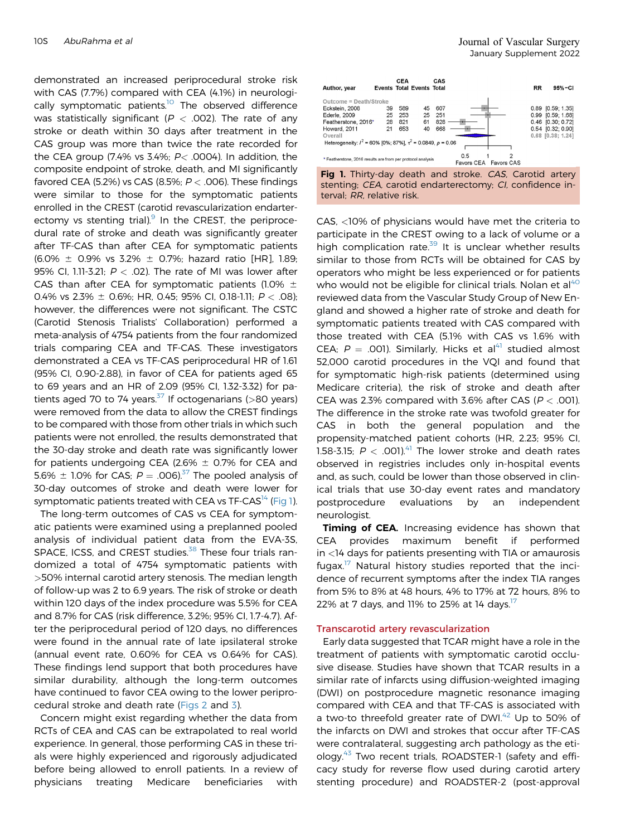demonstrated an increased periprocedural stroke risk with CAS (7.7%) compared with CEA (4.1%) in neurologically symptomatic patients.<sup>10</sup> The observed difference was statistically significant ( $P < .002$ ). The rate of any stroke or death within 30 days after treatment in the CAS group was more than twice the rate recorded for the CEA group (7.4% vs 3.4%;  $P<$  .0004). In addition, the composite endpoint of stroke, death, and MI significantly favored CEA (5.2%) vs CAS (8.5%;  $P <$  .006). These findings were similar to those for the symptomatic patients enrolled in the CREST (carotid revascularization endarterectomy vs stenting trial). $9 \text{ In the CREST}$ , the periprocedural rate of stroke and death was significantly greater after TF-CAS than after CEA for symptomatic patients  $(6.0\% \pm 0.9\% \text{ vs } 3.2\% \pm 0.7\%; \text{ hazard ratio [HR]}, 1.89;$ 95% CI, 1.11-3.21;  $P <$  .02). The rate of MI was lower after CAS than after CEA for symptomatic patients (1.0%  $\pm$ 0.4% vs 2.3%  $\pm$  0.6%; HR, 0.45; 95% CI, 0.18-1.11;  $P <$  0.08); however, the differences were not significant. The CSTC (Carotid Stenosis Trialists' Collaboration) performed a meta-analysis of 4754 patients from the four randomized trials comparing CEA and TF-CAS. These investigators demonstrated a CEA vs TF-CAS periprocedural HR of 1.61 (95% CI, 0.90-2.88), in favor of CEA for patients aged 65 to 69 years and an HR of 2.09 (95% CI, 1.32-3.32) for pa-tients aged 70 to 74 years.<sup>[37](#page-15-22)</sup> If octogenarians ( $>80$  years) were removed from the data to allow the CREST findings to be compared with those from other trials in which such patients were not enrolled, the results demonstrated that the 30-day stroke and death rate was significantly lower for patients undergoing CEA (2.6%  $\pm$  0.7% for CEA and 5.6%  $\pm$  1.0% for CAS;  $P = .006$ .<sup>37</sup> The pooled analysis of 30-day outcomes of stroke and death were lower for symptomatic patients treated with CEA vs  $TF-CAS<sup>14</sup>$  $TF-CAS<sup>14</sup>$  $TF-CAS<sup>14</sup>$  ([Fig 1\)](#page-6-0).

The long-term outcomes of CAS vs CEA for symptomatic patients were examined using a preplanned pooled analysis of individual patient data from the EVA-3S, SPACE, ICSS, and CREST studies.<sup>[38](#page-15-23)</sup> These four trials randomized a total of 4754 symptomatic patients with >50% internal carotid artery stenosis. The median length of follow-up was 2 to 6.9 years. The risk of stroke or death within 120 days of the index procedure was 5.5% for CEA and 8.7% for CAS (risk difference, 3.2%; 95% CI, 1.7-4.7). After the periprocedural period of 120 days, no differences were found in the annual rate of late ipsilateral stroke (annual event rate, 0.60% for CEA vs 0.64% for CAS). These findings lend support that both procedures have similar durability, although the long-term outcomes have continued to favor CEA owing to the lower periprocedural stroke and death rate ([Figs 2](#page-7-0) and [3\)](#page-7-1).

Concern might exist regarding whether the data from RCTs of CEA and CAS can be extrapolated to real world experience. In general, those performing CAS in these trials were highly experienced and rigorously adjudicated before being allowed to enroll patients. In a review of physicians treating Medicare beneficiaries with

<span id="page-6-0"></span>

stenting; CEA, carotid endarterectomy; CI, confidence interval; RR, relative risk.

CAS, <10% of physicians would have met the criteria to participate in the CREST owing to a lack of volume or a high complication rate. $39$  It is unclear whether results similar to those from RCTs will be obtained for CAS by operators who might be less experienced or for patients who would not be eligible for clinical trials. Nolan et al<sup>[40](#page-15-25)</sup> reviewed data from the Vascular Study Group of New England and showed a higher rate of stroke and death for symptomatic patients treated with CAS compared with those treated with CEA (5.1% with CAS vs 1.6% with CEA;  $P = .001$ ). Similarly, Hicks et al<sup>41</sup> studied almost 52,000 carotid procedures in the VQI and found that for symptomatic high-risk patients (determined using Medicare criteria), the risk of stroke and death after CEA was 2.3% compared with 3.6% after CAS ( $P < .001$ ). The difference in the stroke rate was twofold greater for CAS in both the general population and the propensity-matched patient cohorts (HR, 2.23; 95% CI, 1.58-3.15;  $P < 0.001$ ).<sup>[41](#page-15-26)</sup> The lower stroke and death rates observed in registries includes only in-hospital events and, as such, could be lower than those observed in clinical trials that use 30-day event rates and mandatory postprocedure evaluations by an independent neurologist.

Timing of CEA. Increasing evidence has shown that CEA provides maximum benefit if performed in <14 days for patients presenting with TIA or amaurosis fugax.<sup>[17](#page-15-4)</sup> Natural history studies reported that the incidence of recurrent symptoms after the index TIA ranges from 5% to 8% at 48 hours, 4% to 17% at 72 hours, 8% to 22% at 7 days, and 11% to 25% at 14 days.<sup>[17](#page-15-4)</sup>

#### Transcarotid artery revascularization

Early data suggested that TCAR might have a role in the treatment of patients with symptomatic carotid occlusive disease. Studies have shown that TCAR results in a similar rate of infarcts using diffusion-weighted imaging (DWI) on postprocedure magnetic resonance imaging compared with CEA and that TF-CAS is associated with a two-to threefold greater rate of DWI.<sup>[42](#page-15-27)</sup> Up to 50% of the infarcts on DWI and strokes that occur after TF-CAS were contralateral, suggesting arch pathology as the etiology.[43](#page-15-28) Two recent trials, ROADSTER-1 (safety and efficacy study for reverse flow used during carotid artery stenting procedure) and ROADSTER-2 (post-approval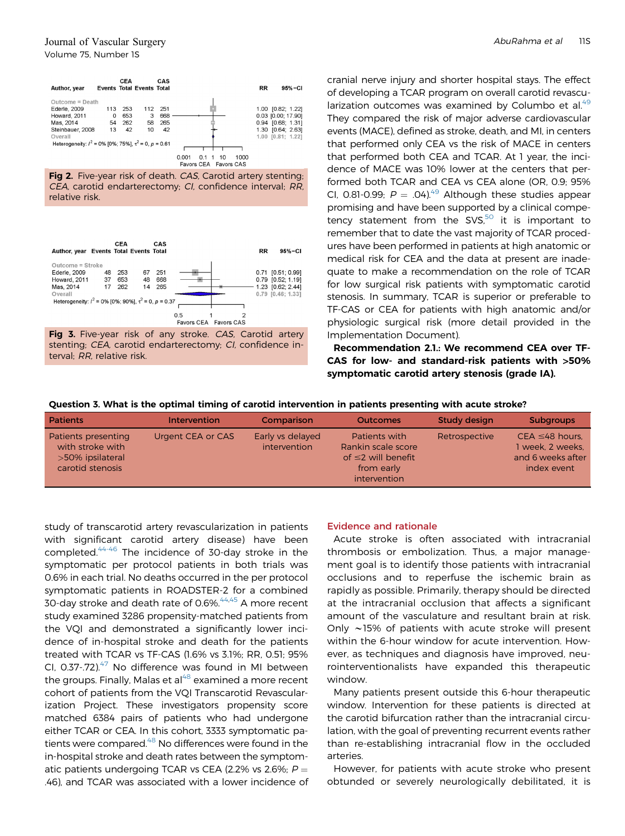<span id="page-7-0"></span>



<span id="page-7-1"></span>



cranial nerve injury and shorter hospital stays. The effect of developing a TCAR program on overall carotid revascularization outcomes was examined by Columbo et al. $49$ They compared the risk of major adverse cardiovascular events (MACE), defined as stroke, death, and MI, in centers that performed only CEA vs the risk of MACE in centers that performed both CEA and TCAR. At 1 year, the incidence of MACE was 10% lower at the centers that performed both TCAR and CEA vs CEA alone (OR, 0.9; 95% CI, 0.81-0.99;  $P = .04$ ).<sup>49</sup> Although these studies appear promising and have been supported by a clinical competency statement from the SVS $,50$  it is important to remember that to date the vast majority of TCAR procedures have been performed in patients at high anatomic or medical risk for CEA and the data at present are inadequate to make a recommendation on the role of TCAR for low surgical risk patients with symptomatic carotid stenosis. In summary, TCAR is superior or preferable to TF-CAS or CEA for patients with high anatomic and/or physiologic surgical risk (more detail provided in the Implementation Document).

Recommendation 2.1.: We recommend CEA over TF-CAS for low- and standard-risk patients with >50% symptomatic carotid artery stenosis (grade IA).

#### Question 3. What is the optimal timing of carotid intervention in patients presenting with acute stroke?

| <b>Patients</b>                                                                 | <b>Intervention</b> | Comparison                       | <b>Outcomes</b>                                                                               | Study design  | <b>Subgroups</b>                                                             |
|---------------------------------------------------------------------------------|---------------------|----------------------------------|-----------------------------------------------------------------------------------------------|---------------|------------------------------------------------------------------------------|
| Patients presenting<br>with stroke with<br>>50% ipsilateral<br>carotid stenosis | Urgent CEA or CAS   | Early vs delayed<br>intervention | Patients with<br>Rankin scale score<br>of $\leq$ 2 will benefit<br>from early<br>intervention | Retrospective | $CEA \leq 48$ hours,<br>1 week. 2 weeks.<br>and 6 weeks after<br>index event |

study of transcarotid artery revascularization in patients with significant carotid artery disease) have been completed.<sup>[44-46](#page-15-29)</sup> The incidence of 30-day stroke in the symptomatic per protocol patients in both trials was 0.6% in each trial. No deaths occurred in the per protocol symptomatic patients in ROADSTER-2 for a combined 30-day stroke and death rate of 0.6%.<sup>[44,](#page-15-29)[45](#page-15-30)</sup> A more recent study examined 3286 propensity-matched patients from the VQI and demonstrated a significantly lower incidence of in-hospital stroke and death for the patients treated with TCAR vs TF-CAS (1.6% vs 3.1%; RR, 0.51; 95% CI, 0.37-.72). $47$  No difference was found in MI between the groups. Finally, Malas et al $48$  examined a more recent cohort of patients from the VQI Transcarotid Revascularization Project. These investigators propensity score matched 6384 pairs of patients who had undergone either TCAR or CEA. In this cohort, 3333 symptomatic pa-tients were compared.<sup>[48](#page-16-1)</sup> No differences were found in the in-hospital stroke and death rates between the symptomatic patients undergoing TCAR vs CEA (2.2% vs 2.6%;  $P =$ .46), and TCAR was associated with a lower incidence of

#### Evidence and rationale

Acute stroke is often associated with intracranial thrombosis or embolization. Thus, a major management goal is to identify those patients with intracranial occlusions and to reperfuse the ischemic brain as rapidly as possible. Primarily, therapy should be directed at the intracranial occlusion that affects a significant amount of the vasculature and resultant brain at risk. Only  $\sim$ 15% of patients with acute stroke will present within the 6-hour window for acute intervention. However, as techniques and diagnosis have improved, neurointerventionalists have expanded this therapeutic window.

Many patients present outside this 6-hour therapeutic window. Intervention for these patients is directed at the carotid bifurcation rather than the intracranial circulation, with the goal of preventing recurrent events rather than re-establishing intracranial flow in the occluded arteries.

However, for patients with acute stroke who present obtunded or severely neurologically debilitated, it is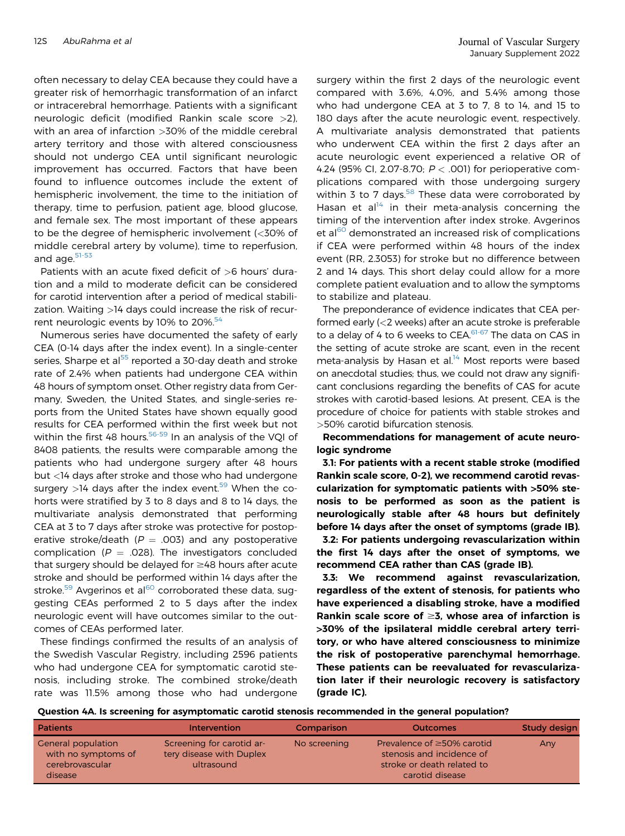often necessary to delay CEA because they could have a greater risk of hemorrhagic transformation of an infarct or intracerebral hemorrhage. Patients with a significant neurologic deficit (modified Rankin scale score >2), with an area of infarction >30% of the middle cerebral artery territory and those with altered consciousness should not undergo CEA until significant neurologic improvement has occurred. Factors that have been found to influence outcomes include the extent of hemispheric involvement, the time to the initiation of therapy, time to perfusion, patient age, blood glucose, and female sex. The most important of these appears to be the degree of hemispheric involvement (<30% of middle cerebral artery by volume), time to reperfusion, and age.<sup>[51-53](#page-16-4)</sup>

Patients with an acute fixed deficit of >6 hours' duration and a mild to moderate deficit can be considered for carotid intervention after a period of medical stabilization. Waiting >14 days could increase the risk of recurrent neurologic events by 10% to  $20\%$ .<sup>[54](#page-16-5)</sup>

Numerous series have documented the safety of early CEA (0-14 days after the index event). In a single-center series, Sharpe et al<sup>[55](#page-16-6)</sup> reported a 30-day death and stroke rate of 2.4% when patients had undergone CEA within 48 hours of symptom onset. Other registry data from Germany, Sweden, the United States, and single-series reports from the United States have shown equally good results for CEA performed within the first week but not within the first 48 hours. $56-59$  In an analysis of the VQI of 8408 patients, the results were comparable among the patients who had undergone surgery after 48 hours but <14 days after stroke and those who had undergone surgery  $>14$  days after the index event.<sup>[59](#page-16-8)</sup> When the cohorts were stratified by 3 to 8 days and 8 to 14 days, the multivariate analysis demonstrated that performing CEA at 3 to 7 days after stroke was protective for postoperative stroke/death ( $P = .003$ ) and any postoperative complication ( $P = .028$ ). The investigators concluded that surgery should be delayed for  $\geq$ 48 hours after acute stroke and should be performed within 14 days after the stroke.<sup>[59](#page-16-8)</sup> Avgerinos et al<sup>[60](#page-16-9)</sup> corroborated these data, suggesting CEAs performed 2 to 5 days after the index neurologic event will have outcomes similar to the outcomes of CEAs performed later.

These findings confirmed the results of an analysis of the Swedish Vascular Registry, including 2596 patients who had undergone CEA for symptomatic carotid stenosis, including stroke. The combined stroke/death rate was 11.5% among those who had undergone

surgery within the first 2 days of the neurologic event compared with 3.6%, 4.0%, and 5.4% among those who had undergone CEA at 3 to 7, 8 to 14, and 15 to 180 days after the acute neurologic event, respectively. A multivariate analysis demonstrated that patients who underwent CEA within the first 2 days after an acute neurologic event experienced a relative OR of 4.24 (95% CI, 2.07-8.70;  $P < .001$ ) for perioperative complications compared with those undergoing surgery within 3 to 7 days. $58$  These data were corroborated by Hasan et al<sup>[14](#page-15-1)</sup> in their meta-analysis concerning the timing of the intervention after index stroke. Avgerinos et al<sup>[60](#page-16-9)</sup> demonstrated an increased risk of complications if CEA were performed within 48 hours of the index event (RR, 2.3053) for stroke but no difference between 2 and 14 days. This short delay could allow for a more complete patient evaluation and to allow the symptoms to stabilize and plateau.

The preponderance of evidence indicates that CEA performed early (<2 weeks) after an acute stroke is preferable to a delay of 4 to 6 weeks to CEA.<sup>[61-67](#page-16-11)</sup> The data on CAS in the setting of acute stroke are scant, even in the recent meta-analysis by Hasan et al. $14$  Most reports were based on anecdotal studies; thus, we could not draw any significant conclusions regarding the benefits of CAS for acute strokes with carotid-based lesions. At present, CEA is the procedure of choice for patients with stable strokes and >50% carotid bifurcation stenosis.

Recommendations for management of acute neurologic syndrome

3.1: For patients with a recent stable stroke (modified Rankin scale score, 0-2), we recommend carotid revascularization for symptomatic patients with >50% stenosis to be performed as soon as the patient is neurologically stable after 48 hours but definitely before 14 days after the onset of symptoms (grade IB).

3.2: For patients undergoing revascularization within the first 14 days after the onset of symptoms, we recommend CEA rather than CAS (grade IB).

3.3: We recommend against revascularization, regardless of the extent of stenosis, for patients who have experienced a disabling stroke, have a modified Rankin scale score of  $\geq$ 3, whose area of infarction is >30% of the ipsilateral middle cerebral artery territory, or who have altered consciousness to minimize the risk of postoperative parenchymal hemorrhage. These patients can be reevaluated for revascularization later if their neurologic recovery is satisfactory (grade IC).

Question 4A. Is screening for asymptomatic carotid stenosis recommended in the general population?

| <b>Patients</b>                                                         | <b>Intervention</b>                                                 | Comparison   | <b>Outcomes</b>                                                                                                | Study design |
|-------------------------------------------------------------------------|---------------------------------------------------------------------|--------------|----------------------------------------------------------------------------------------------------------------|--------------|
| General population<br>with no symptoms of<br>cerebrovascular<br>disease | Screening for carotid ar-<br>tery disease with Duplex<br>ultrasound | No screening | Prevalence of $\geq$ 50% carotid<br>stenosis and incidence of<br>stroke or death related to<br>carotid disease | Any          |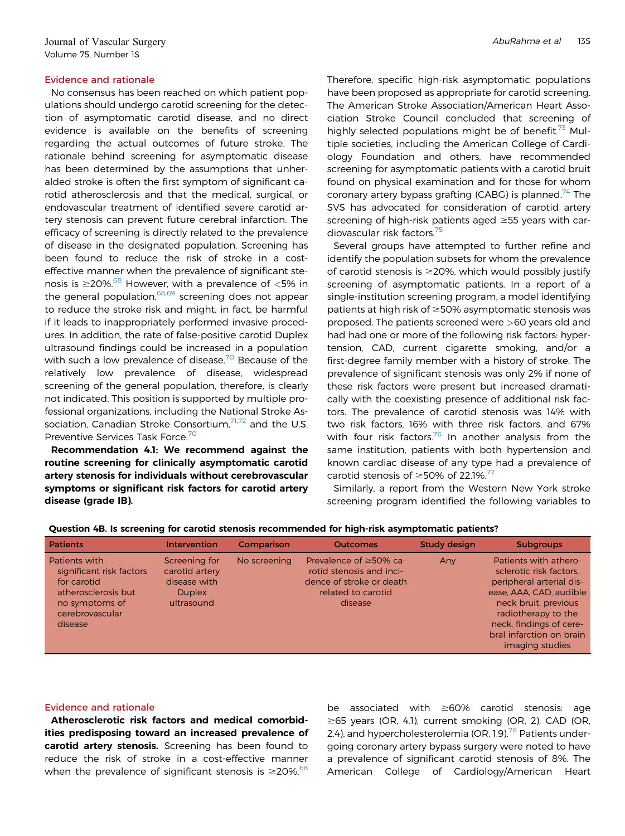No consensus has been reached on which patient populations should undergo carotid screening for the detection of asymptomatic carotid disease, and no direct evidence is available on the benefits of screening regarding the actual outcomes of future stroke. The rationale behind screening for asymptomatic disease has been determined by the assumptions that unheralded stroke is often the first symptom of significant carotid atherosclerosis and that the medical, surgical, or endovascular treatment of identified severe carotid artery stenosis can prevent future cerebral infarction. The efficacy of screening is directly related to the prevalence of disease in the designated population. Screening has been found to reduce the risk of stroke in a costeffective manner when the prevalence of significant stenosis is  $\geq$ 20%.<sup>[68](#page-16-12)</sup> However, with a prevalence of <5% in the general population,  $68,69$  $68,69$  screening does not appear to reduce the stroke risk and might, in fact, be harmful if it leads to inappropriately performed invasive procedures. In addition, the rate of false-positive carotid Duplex ultrasound findings could be increased in a population with such a low prevalence of disease.<sup>[70](#page-16-14)</sup> Because of the relatively low prevalence of disease, widespread screening of the general population, therefore, is clearly not indicated. This position is supported by multiple professional organizations, including the National Stroke Association, Canadian Stroke Consortium, $7^{1,72}$  $7^{1,72}$  $7^{1,72}$  and the U.S. Preventive Services Task Force.<sup>[70](#page-16-14)</sup>

Recommendation 4.1: We recommend against the routine screening for clinically asymptomatic carotid artery stenosis for individuals without cerebrovascular symptoms or significant risk factors for carotid artery disease (grade IB).

Therefore, specific high-risk asymptomatic populations have been proposed as appropriate for carotid screening. The American Stroke Association/American Heart Association Stroke Council concluded that screening of highly selected populations might be of benefit.<sup>73</sup> Multiple societies, including the American College of Cardiology Foundation and others, have recommended screening for asymptomatic patients with a carotid bruit found on physical examination and for those for whom coronary artery bypass grafting (CABG) is planned.<sup>[74](#page-16-18)</sup> The SVS has advocated for consideration of carotid artery screening of high-risk patients aged  $\geq$ 55 years with car-diovascular risk factors.<sup>[75](#page-16-19)</sup>

Several groups have attempted to further refine and identify the population subsets for whom the prevalence of carotid stenosis is  $\geq$ 20%, which would possibly justify screening of asymptomatic patients. In a report of a single-institution screening program, a model identifying patients at high risk of  $\geq$ 50% asymptomatic stenosis was proposed. The patients screened were >60 years old and had had one or more of the following risk factors: hypertension, CAD, current cigarette smoking, and/or a first-degree family member with a history of stroke. The prevalence of significant stenosis was only 2% if none of these risk factors were present but increased dramatically with the coexisting presence of additional risk factors. The prevalence of carotid stenosis was 14% with two risk factors, 16% with three risk factors, and 67% with four risk factors.<sup>[76](#page-16-20)</sup> In another analysis from the same institution, patients with both hypertension and known cardiac disease of any type had a prevalence of carotid stenosis of  $\geq$ 50% of 22.1%.<sup>[77](#page-16-21)</sup>

Similarly, a report from the Western New York stroke screening program identified the following variables to

| <b>Patients</b>                                                                                                                 | Intervention                                                                   | Comparison   | <b>Outcomes</b>                                                                                                       | <b>Study design</b> | <b>Subgroups</b>                                                                                                                                                                                                                 |
|---------------------------------------------------------------------------------------------------------------------------------|--------------------------------------------------------------------------------|--------------|-----------------------------------------------------------------------------------------------------------------------|---------------------|----------------------------------------------------------------------------------------------------------------------------------------------------------------------------------------------------------------------------------|
| Patients with<br>significant risk factors<br>for carotid<br>atherosclerosis but<br>no symptoms of<br>cerebrovascular<br>disease | Screening for<br>carotid artery<br>disease with<br><b>Duplex</b><br>ultrasound | No screening | Prevalence of $\geq$ 50% ca-<br>rotid stenosis and inci-<br>dence of stroke or death<br>related to carotid<br>disease | Any                 | Patients with athero-<br>sclerotic risk factors.<br>peripheral arterial dis-<br>ease, AAA, CAD, audible<br>neck bruit, previous<br>radiotherapy to the<br>neck, findings of cere-<br>bral infarction on brain<br>imaging studies |

Question 4B. Is screening for carotid stenosis recommended for high-risk asymptomatic patients?

## Evidence and rationale

Atherosclerotic risk factors and medical comorbidities predisposing toward an increased prevalence of carotid artery stenosis. Screening has been found to reduce the risk of stroke in a cost-effective manner when the prevalence of significant stenosis is  $\geq$ 20%.<sup>[68](#page-16-12)</sup>

be associated with  $\geq 60\%$  carotid stenosis: age  $\geq$ 65 years (OR, 4.1), current smoking (OR, 2), CAD (OR, 2.4), and hypercholesterolemia (OR, 1.9).<sup>[78](#page-16-22)</sup> Patients undergoing coronary artery bypass surgery were noted to have a prevalence of significant carotid stenosis of 8%. The American College of Cardiology/American Heart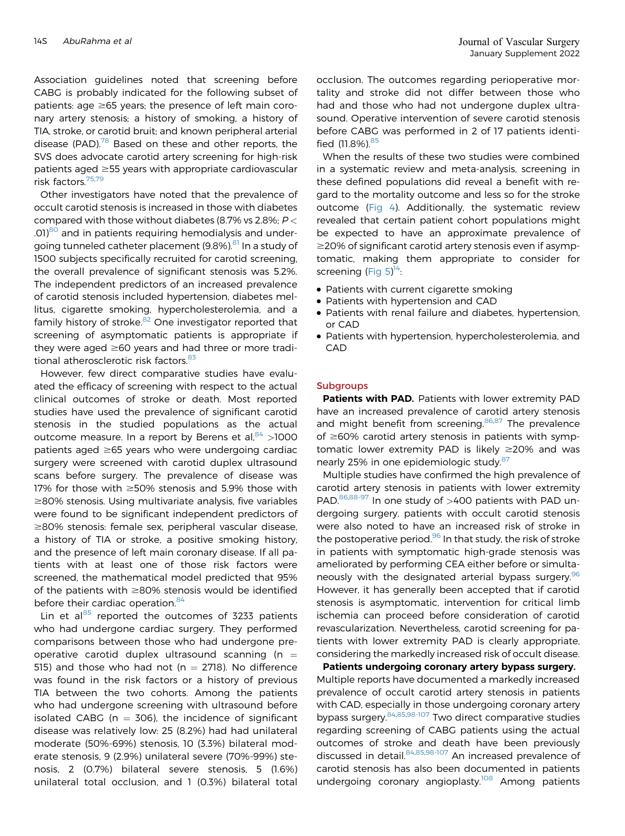Association guidelines noted that screening before CABG is probably indicated for the following subset of patients: age  $\geq 65$  years; the presence of left main coronary artery stenosis; a history of smoking, a history of TIA, stroke, or carotid bruit; and known peripheral arterial disease (PAD). $78$  Based on these and other reports, the SVS does advocate carotid artery screening for high-risk patients aged  $\geq$ 55 years with appropriate cardiovascular risk factors.[75](#page-16-19)[,79](#page-16-23)

Other investigators have noted that the prevalence of occult carotid stenosis is increased in those with diabetes compared with those without diabetes (8.7% vs 2.8%;  $P <$ .01)<sup>[80](#page-16-24)</sup> and in patients requiring hemodialysis and under-going tunneled catheter placement (9.8%).<sup>[81](#page-16-25)</sup> In a study of 1500 subjects specifically recruited for carotid screening, the overall prevalence of significant stenosis was 5.2%. The independent predictors of an increased prevalence of carotid stenosis included hypertension, diabetes mellitus, cigarette smoking, hypercholesterolemia, and a family history of stroke.<sup>[82](#page-16-26)</sup> One investigator reported that screening of asymptomatic patients is appropriate if they were aged  $\geq 60$  years and had three or more tradi-tional atherosclerotic risk factors.<sup>[83](#page-16-27)</sup>

However, few direct comparative studies have evaluated the efficacy of screening with respect to the actual clinical outcomes of stroke or death. Most reported studies have used the prevalence of significant carotid stenosis in the studied populations as the actual outcome measure. In a report by Berens et al,  $84 > 1000$  $84 > 1000$ patients aged  $\geq 65$  years who were undergoing cardiac surgery were screened with carotid duplex ultrasound scans before surgery. The prevalence of disease was 17% for those with  $\geq$ 50% stenosis and 5.9% those with  $\geq$ 80% stenosis. Using multivariate analysis, five variables were found to be significant independent predictors of  $\geq$ 80% stenosis: female sex, peripheral vascular disease, a history of TIA or stroke, a positive smoking history, and the presence of left main coronary disease. If all patients with at least one of those risk factors were screened, the mathematical model predicted that 95% of the patients with  $\geq$ 80% stenosis would be identified before their cardiac operation.<sup>[84](#page-16-28)</sup>

Lin et al $^{85}$  $^{85}$  $^{85}$  reported the outcomes of 3233 patients who had undergone cardiac surgery. They performed comparisons between those who had undergone preoperative carotid duplex ultrasound scanning ( $n =$ 515) and those who had not ( $n = 2718$ ). No difference was found in the risk factors or a history of previous TIA between the two cohorts. Among the patients who had undergone screening with ultrasound before isolated CABG ( $n = 306$ ), the incidence of significant disease was relatively low: 25 (8.2%) had had unilateral moderate (50%-69%) stenosis, 10 (3.3%) bilateral moderate stenosis, 9 (2.9%) unilateral severe (70%-99%) stenosis, 2 (0.7%) bilateral severe stenosis, 5 (1.6%) unilateral total occlusion, and 1 (0.3%) bilateral total occlusion. The outcomes regarding perioperative mortality and stroke did not differ between those who had and those who had not undergone duplex ultrasound. Operative intervention of severe carotid stenosis before CABG was performed in 2 of 17 patients identi-fied (11.8%). [85](#page-16-29)

When the results of these two studies were combined in a systematic review and meta-analysis, screening in these defined populations did reveal a benefit with regard to the mortality outcome and less so for the stroke outcome [\(Fig 4\)](#page-11-0). Additionally, the systematic review revealed that certain patient cohort populations might be expected to have an approximate prevalence of  $\geq$ 20% of significant carotid artery stenosis even if asymptomatic, making them appropriate to consider for screening [\(Fig 5](#page-12-0))<sup>14</sup>:

- Patients with current cigarette smoking
- Patients with hypertension and CAD
- Patients with renal failure and diabetes, hypertension, or CAD
- Patients with hypertension, hypercholesterolemia, and CAD

### **Subgroups**

Patients with PAD. Patients with lower extremity PAD have an increased prevalence of carotid artery stenosis and might benefit from screening.<sup>[86](#page-17-0),[87](#page-17-1)</sup> The prevalence of  $\geq$ 60% carotid artery stenosis in patients with symptomatic lower extremity PAD is likely  $\geq$ 20% and was nearly 25% in one epidemiologic study.<sup>[87](#page-17-1)</sup>

Multiple studies have confirmed the high prevalence of carotid artery stenosis in patients with lower extremity PAD.<sup>[86,](#page-17-0)[88-97](#page-17-2)</sup> In one study of >400 patients with PAD undergoing surgery, patients with occult carotid stenosis were also noted to have an increased risk of stroke in the postoperative period. $96$  In that study, the risk of stroke in patients with symptomatic high-grade stenosis was ameliorated by performing CEA either before or simulta-neously with the designated arterial bypass surgery.<sup>[96](#page-17-3)</sup> However, it has generally been accepted that if carotid stenosis is asymptomatic, intervention for critical limb ischemia can proceed before consideration of carotid revascularization. Nevertheless, carotid screening for patients with lower extremity PAD is clearly appropriate, considering the markedly increased risk of occult disease.

Patients undergoing coronary artery bypass surgery. Multiple reports have documented a markedly increased prevalence of occult carotid artery stenosis in patients with CAD, especially in those undergoing coronary artery bypass surgery. <sup>[84](#page-16-28),[85,](#page-16-29)[98-107](#page-17-4)</sup> Two direct comparative studies regarding screening of CABG patients using the actual outcomes of stroke and death have been previously discussed in detail. [84](#page-16-28)[,85](#page-16-29)[,98-107](#page-17-4) An increased prevalence of carotid stenosis has also been documented in patients undergoing coronary angioplasty.<sup>[108](#page-17-5)</sup> Among patients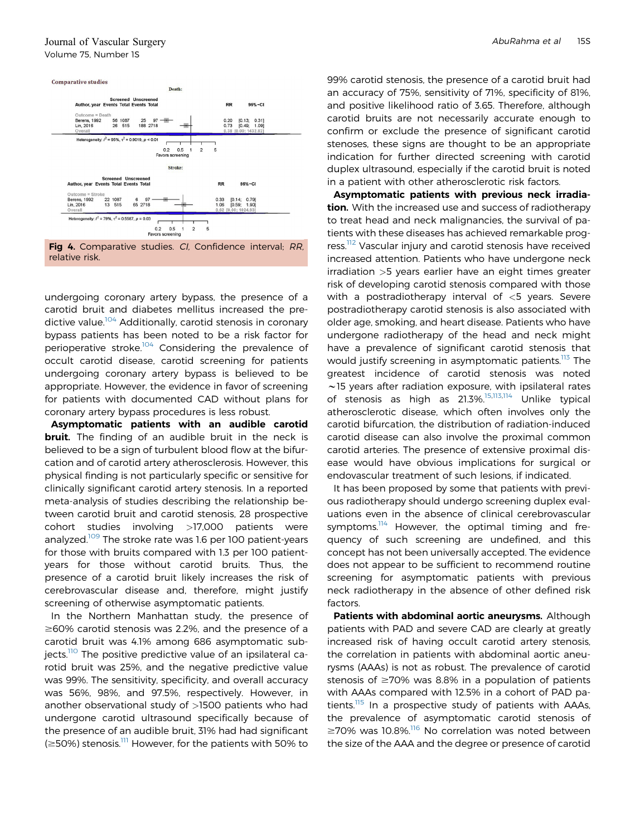<span id="page-11-0"></span>

undergoing coronary artery bypass, the presence of a carotid bruit and diabetes mellitus increased the pre-dictive value.<sup>[104](#page-17-6)</sup> Additionally, carotid stenosis in coronary bypass patients has been noted to be a risk factor for perioperative stroke.<sup>[104](#page-17-6)</sup> Considering the prevalence of occult carotid disease, carotid screening for patients undergoing coronary artery bypass is believed to be appropriate. However, the evidence in favor of screening for patients with documented CAD without plans for coronary artery bypass procedures is less robust.

Asymptomatic patients with an audible carotid **bruit.** The finding of an audible bruit in the neck is believed to be a sign of turbulent blood flow at the bifurcation and of carotid artery atherosclerosis. However, this physical finding is not particularly specific or sensitive for clinically significant carotid artery stenosis. In a reported meta-analysis of studies describing the relationship between carotid bruit and carotid stenosis, 28 prospective cohort studies involving >17,000 patients were analyzed.<sup>[109](#page-17-7)</sup> The stroke rate was 1.6 per 100 patient-years for those with bruits compared with 1.3 per 100 patientyears for those without carotid bruits. Thus, the presence of a carotid bruit likely increases the risk of cerebrovascular disease and, therefore, might justify screening of otherwise asymptomatic patients.

In the Northern Manhattan study, the presence of  $\geq$  60% carotid stenosis was 2.2%, and the presence of a carotid bruit was 4.1% among 686 asymptomatic sub-jects.<sup>[110](#page-17-8)</sup> The positive predictive value of an ipsilateral carotid bruit was 25%, and the negative predictive value was 99%. The sensitivity, specificity, and overall accuracy was 56%, 98%, and 97.5%, respectively. However, in another observational study of >1500 patients who had undergone carotid ultrasound specifically because of the presence of an audible bruit, 31% had had significant  $\approx$  50%) stenosis.<sup>[111](#page-17-9)</sup> However, for the patients with 50% to

99% carotid stenosis, the presence of a carotid bruit had an accuracy of 75%, sensitivity of 71%, specificity of 81%, and positive likelihood ratio of 3.65. Therefore, although carotid bruits are not necessarily accurate enough to confirm or exclude the presence of significant carotid stenoses, these signs are thought to be an appropriate indication for further directed screening with carotid duplex ultrasound, especially if the carotid bruit is noted in a patient with other atherosclerotic risk factors.

Asymptomatic patients with previous neck irradiation. With the increased use and success of radiotherapy to treat head and neck malignancies, the survival of patients with these diseases has achieved remarkable prog-ress.<sup>[112](#page-17-10)</sup> Vascular injury and carotid stenosis have received increased attention. Patients who have undergone neck irradiation >5 years earlier have an eight times greater risk of developing carotid stenosis compared with those with a postradiotherapy interval of  $<$ 5 years. Severe postradiotherapy carotid stenosis is also associated with older age, smoking, and heart disease. Patients who have undergone radiotherapy of the head and neck might have a prevalence of significant carotid stenosis that would justify screening in asymptomatic patients.<sup>[113](#page-17-11)</sup> The greatest incidence of carotid stenosis was noted  $\sim$ 15 years after radiation exposure, with ipsilateral rates of stenosis as high as 21.3%.<sup>[15](#page-15-2)[,113,](#page-17-11)[114](#page-17-12)</sup> Unlike typical atherosclerotic disease, which often involves only the carotid bifurcation, the distribution of radiation-induced carotid disease can also involve the proximal common carotid arteries. The presence of extensive proximal disease would have obvious implications for surgical or endovascular treatment of such lesions, if indicated.

It has been proposed by some that patients with previous radiotherapy should undergo screening duplex evaluations even in the absence of clinical cerebrovascular symptoms.<sup>114</sup> However, the optimal timing and frequency of such screening are undefined, and this concept has not been universally accepted. The evidence does not appear to be sufficient to recommend routine screening for asymptomatic patients with previous neck radiotherapy in the absence of other defined risk factors.

Patients with abdominal aortic aneurysms. Although patients with PAD and severe CAD are clearly at greatly increased risk of having occult carotid artery stenosis, the correlation in patients with abdominal aortic aneurysms (AAAs) is not as robust. The prevalence of carotid stenosis of  $\geq 70\%$  was 8.8% in a population of patients with AAAs compared with 12.5% in a cohort of PAD pa-tients.<sup>[115](#page-17-13)</sup> In a prospective study of patients with AAAs, the prevalence of asymptomatic carotid stenosis of  $\geq$ 70% was 10.8%.<sup>[116](#page-17-14)</sup> No correlation was noted between the size of the AAA and the degree or presence of carotid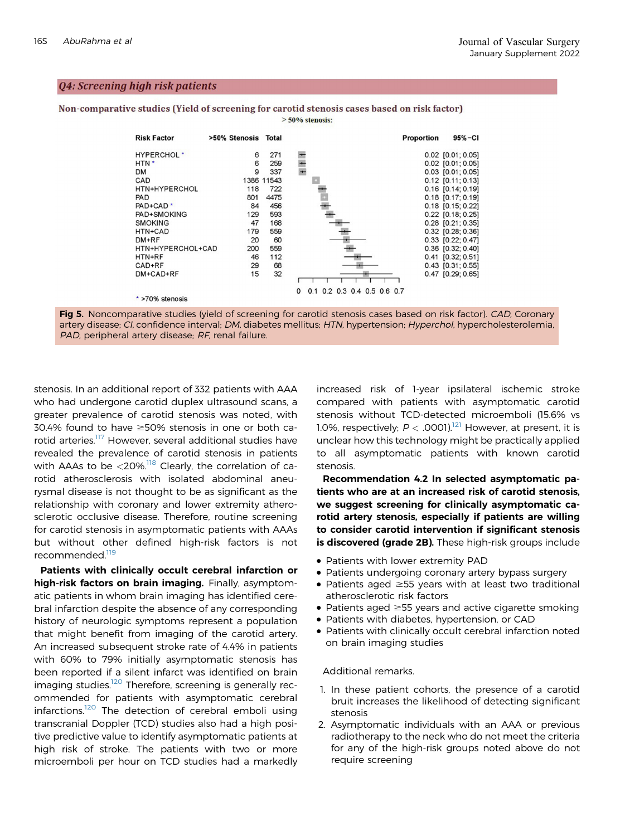## <span id="page-12-0"></span>Q4: Screening high risk patients

Non-comparative studies (Yield of screening for carotid stenosis cases based on risk factor)  $> 50\%$  stenosis:





stenosis. In an additional report of 332 patients with AAA who had undergone carotid duplex ultrasound scans, a greater prevalence of carotid stenosis was noted, with 30.4% found to have  $\geq$ 50% stenosis in one or both ca-rotid arteries.<sup>[117](#page-17-15)</sup> However, several additional studies have revealed the prevalence of carotid stenosis in patients with AAAs to be  $\langle 20\% \rangle^{118}$  $\langle 20\% \rangle^{118}$  $\langle 20\% \rangle^{118}$  Clearly, the correlation of carotid atherosclerosis with isolated abdominal aneurysmal disease is not thought to be as significant as the relationship with coronary and lower extremity atherosclerotic occlusive disease. Therefore, routine screening for carotid stenosis in asymptomatic patients with AAAs but without other defined high-risk factors is not recommended.<sup>[119](#page-17-17)</sup>

Patients with clinically occult cerebral infarction or high-risk factors on brain imaging. Finally, asymptomatic patients in whom brain imaging has identified cerebral infarction despite the absence of any corresponding history of neurologic symptoms represent a population that might benefit from imaging of the carotid artery. An increased subsequent stroke rate of 4.4% in patients with 60% to 79% initially asymptomatic stenosis has been reported if a silent infarct was identified on brain imaging studies.<sup>[120](#page-17-18)</sup> Therefore, screening is generally recommended for patients with asymptomatic cerebral infarctions.<sup>[120](#page-17-18)</sup> The detection of cerebral emboli using transcranial Doppler (TCD) studies also had a high positive predictive value to identify asymptomatic patients at high risk of stroke. The patients with two or more microemboli per hour on TCD studies had a markedly

increased risk of 1-year ipsilateral ischemic stroke compared with patients with asymptomatic carotid stenosis without TCD-detected microemboli (15.6% vs 1.0%, respectively;  $P < .0001$ ).<sup>[121](#page-17-19)</sup> However, at present, it is unclear how this technology might be practically applied to all asymptomatic patients with known carotid stenosis.

Recommendation 4.2 In selected asymptomatic patients who are at an increased risk of carotid stenosis, we suggest screening for clinically asymptomatic carotid artery stenosis, especially if patients are willing to consider carotid intervention if significant stenosis is discovered (grade 2B). These high-risk groups include

- Patients with lower extremity PAD
- Patients undergoing coronary artery bypass surgery
- Patients aged  $\geq$ 55 years with at least two traditional atherosclerotic risk factors
- Patients aged  $\geq 55$  years and active cigarette smoking
- Patients with diabetes, hypertension, or CAD
- Patients with clinically occult cerebral infarction noted on brain imaging studies

#### Additional remarks.

- 1. In these patient cohorts, the presence of a carotid bruit increases the likelihood of detecting significant stenosis
- 2. Asymptomatic individuals with an AAA or previous radiotherapy to the neck who do not meet the criteria for any of the high-risk groups noted above do not require screening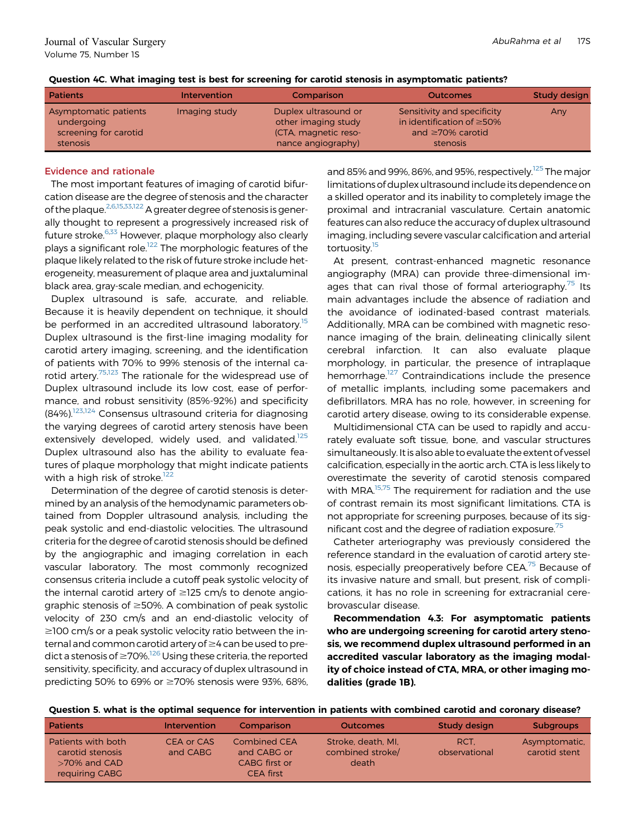|  |  |  | Question 4C. What imaging test is best for screening for carotid stenosis in asymptomatic patients? |  |  |
|--|--|--|-----------------------------------------------------------------------------------------------------|--|--|
|  |  |  |                                                                                                     |  |  |

| <b>Patients</b>                                                          | <b>Intervention</b> | Comparison                                                                                | <b>Outcomes</b>                                                                                       | <b>Study design</b> |
|--------------------------------------------------------------------------|---------------------|-------------------------------------------------------------------------------------------|-------------------------------------------------------------------------------------------------------|---------------------|
| Asymptomatic patients<br>undergoing<br>screening for carotid<br>stenosis | Imaging study       | Duplex ultrasound or<br>other imaging study<br>(CTA, magnetic reso-<br>nance angiography) | Sensitivity and specificity<br>in identification of $\geq$ 50%<br>and $\geq 70\%$ carotid<br>stenosis | Any                 |

The most important features of imaging of carotid bifurcation disease are the degree of stenosis and the character of the plaque[.2](#page-14-1)[,6](#page-14-6)[,15](#page-15-2),[33](#page-15-18),[122](#page-17-20) A greater degree of stenosis is generally thought to represent a progressively increased risk of future stroke.<sup>6[,33](#page-15-18)</sup> However, plaque morphology also clearly plays a significant role.<sup>[122](#page-17-20)</sup> The morphologic features of the plaque likely related to the risk of future stroke include heterogeneity, measurement of plaque area and juxtaluminal black area, gray-scale median, and echogenicity.

Duplex ultrasound is safe, accurate, and reliable. Because it is heavily dependent on technique, it should be performed in an accredited ultrasound laboratory.<sup>[15](#page-15-2)</sup> Duplex ultrasound is the first-line imaging modality for carotid artery imaging, screening, and the identification of patients with 70% to 99% stenosis of the internal ca-rotid artery.<sup>[75,](#page-16-19)[123](#page-17-21)</sup> The rationale for the widespread use of Duplex ultrasound include its low cost, ease of performance, and robust sensitivity (85%-92%) and specificity (84%).[123](#page-17-21)[,124](#page-17-22) Consensus ultrasound criteria for diagnosing the varying degrees of carotid artery stenosis have been extensively developed, widely used, and validated.<sup>[125](#page-17-23)</sup> Duplex ultrasound also has the ability to evaluate features of plaque morphology that might indicate patients with a high risk of stroke.<sup>[122](#page-17-20)</sup>

Determination of the degree of carotid stenosis is determined by an analysis of the hemodynamic parameters obtained from Doppler ultrasound analysis, including the peak systolic and end-diastolic velocities. The ultrasound criteria for the degree of carotid stenosis should be defined by the angiographic and imaging correlation in each vascular laboratory. The most commonly recognized consensus criteria include a cutoff peak systolic velocity of the internal carotid artery of  $\geq$ 125 cm/s to denote angiographic stenosis of  $\geq$ 50%. A combination of peak systolic velocity of 230 cm/s and an end-diastolic velocity of  $\geq$ 100 cm/s or a peak systolic velocity ratio between the internal and common carotid artery of  $\geq$ 4 can be used to predict a stenosis of  $\geq$  70%.<sup>126</sup> Using these criteria, the reported sensitivity, specificity, and accuracy of duplex ultrasound in predicting 50% to 69% or  $\geq$ 70% stenosis were 93%, 68%,

and 85% and 99%, 86%, and 95%, respectively.<sup>125</sup> The major limitations of duplex ultrasound include its dependence on a skilled operator and its inability to completely image the proximal and intracranial vasculature. Certain anatomic features can also reduce the accuracy of duplex ultrasound imaging, including severe vascular calcification and arterial tortuosity.<sup>15</sup>

At present, contrast-enhanced magnetic resonance angiography (MRA) can provide three-dimensional im-ages that can rival those of formal arteriography.<sup>[75](#page-16-19)</sup> Its main advantages include the absence of radiation and the avoidance of iodinated-based contrast materials. Additionally, MRA can be combined with magnetic resonance imaging of the brain, delineating clinically silent cerebral infarction. It can also evaluate plaque morphology, in particular, the presence of intraplaque hemorrhage.<sup>[127](#page-18-0)</sup> Contraindications include the presence of metallic implants, including some pacemakers and defibrillators. MRA has no role, however, in screening for carotid artery disease, owing to its considerable expense.

Multidimensional CTA can be used to rapidly and accurately evaluate soft tissue, bone, and vascular structures simultaneously.It is also able to evaluate the extent of vessel calcification, especially in the aortic arch. CTA is less likely to overestimate the severity of carotid stenosis compared with MRA.<sup>[15](#page-15-2)[,75](#page-16-19)</sup> The requirement for radiation and the use of contrast remain its most significant limitations. CTA is not appropriate for screening purposes, because of its significant cost and the degree of radiation exposure.<sup>75</sup>

Catheter arteriography was previously considered the reference standard in the evaluation of carotid artery ste-nosis, especially preoperatively before CEA.<sup>[75](#page-16-19)</sup> Because of its invasive nature and small, but present, risk of complications, it has no role in screening for extracranial cerebrovascular disease.

Recommendation 4.3: For asymptomatic patients who are undergoing screening for carotid artery stenosis, we recommend duplex ultrasound performed in an accredited vascular laboratory as the imaging modality of choice instead of CTA, MRA, or other imaging modalities (grade 1B).

Question 5. what is the optimal sequence for intervention in patients with combined carotid and coronary disease?

| <b>Patients</b>                                                             | <b>Intervention</b>    | Comparison                                                       | <b>Outcomes</b>                                 | Study design          | <b>Subgroups</b>               |
|-----------------------------------------------------------------------------|------------------------|------------------------------------------------------------------|-------------------------------------------------|-----------------------|--------------------------------|
| Patients with both<br>carotid stenosis<br>$>70\%$ and CAD<br>requiring CABC | CEA or CAS<br>and CABG | Combined CEA<br>and CABG or<br>CABG first or<br><b>CEA</b> first | Stroke, death, MI.<br>combined stroke/<br>death | RCT.<br>observational | Asymptomatic,<br>carotid stent |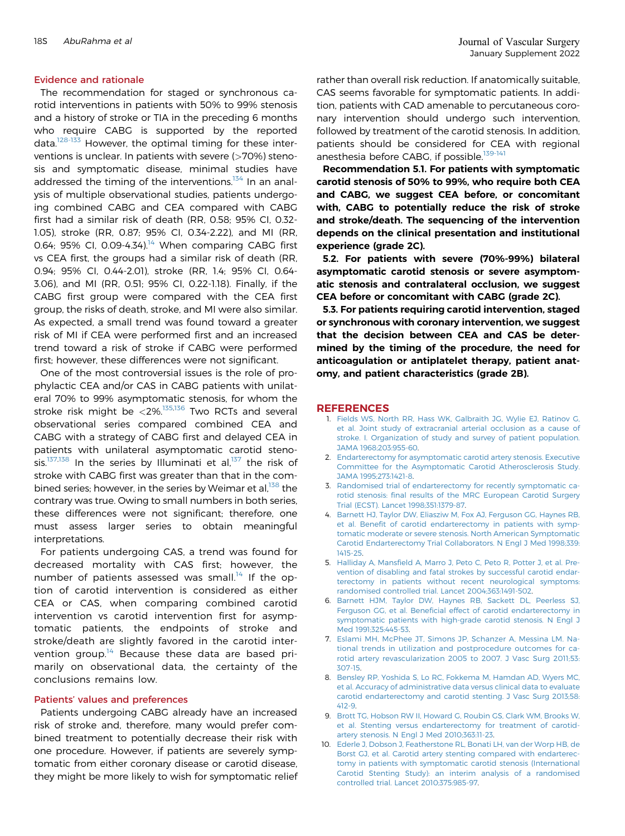The recommendation for staged or synchronous carotid interventions in patients with 50% to 99% stenosis and a history of stroke or TIA in the preceding 6 months who require CABG is supported by the reported data. $128-133$  However, the optimal timing for these interventions is unclear. In patients with severe (>70%) stenosis and symptomatic disease, minimal studies have addressed the timing of the interventions.<sup>[134](#page-18-2)</sup> In an analysis of multiple observational studies, patients undergoing combined CABG and CEA compared with CABG first had a similar risk of death (RR, 0.58; 95% CI, 0.32- 1.05), stroke (RR, 0.87; 95% CI, 0.34-2.22), and MI (RR, 0.64; 95% CI, 0.09-4.34).<sup>[14](#page-15-1)</sup> When comparing CABG first vs CEA first, the groups had a similar risk of death (RR, 0.94; 95% CI, 0.44-2.01), stroke (RR, 1.4; 95% CI, 0.64- 3.06), and MI (RR, 0.51; 95% CI, 0.22-1.18). Finally, if the CABG first group were compared with the CEA first group, the risks of death, stroke, and MI were also similar. As expected, a small trend was found toward a greater risk of MI if CEA were performed first and an increased trend toward a risk of stroke if CABG were performed first; however, these differences were not significant.

One of the most controversial issues is the role of prophylactic CEA and/or CAS in CABG patients with unilateral 70% to 99% asymptomatic stenosis, for whom the stroke risk might be  $\langle 2\% \rangle^{135,136}$  $\langle 2\% \rangle^{135,136}$  $\langle 2\% \rangle^{135,136}$  $\langle 2\% \rangle^{135,136}$  Two RCTs and several observational series compared combined CEA and CABG with a strategy of CABG first and delayed CEA in patients with unilateral asymptomatic carotid steno-sis.<sup>[137,](#page-18-5)[138](#page-18-6)</sup> In the series by Illuminati et al,<sup>[137](#page-18-5)</sup> the risk of stroke with CABG first was greater than that in the com-bined series; however, in the series by Weimar et al,<sup>[138](#page-18-6)</sup> the contrary was true. Owing to small numbers in both series, these differences were not significant; therefore, one must assess larger series to obtain meaningful interpretations.

For patients undergoing CAS, a trend was found for decreased mortality with CAS first; however, the number of patients assessed was small.<sup>[14](#page-15-1)</sup> If the option of carotid intervention is considered as either CEA or CAS, when comparing combined carotid intervention vs carotid intervention first for asymptomatic patients, the endpoints of stroke and stroke/death are slightly favored in the carotid inter-vention group.<sup>[14](#page-15-1)</sup> Because these data are based primarily on observational data, the certainty of the conclusions remains low.

#### Patients' values and preferences

Patients undergoing CABG already have an increased risk of stroke and, therefore, many would prefer combined treatment to potentially decrease their risk with one procedure. However, if patients are severely symptomatic from either coronary disease or carotid disease, they might be more likely to wish for symptomatic relief rather than overall risk reduction. If anatomically suitable, CAS seems favorable for symptomatic patients. In addition, patients with CAD amenable to percutaneous coronary intervention should undergo such intervention, followed by treatment of the carotid stenosis. In addition, patients should be considered for CEA with regional anesthesia before CABG, if possible.<sup>[139-141](#page-18-7)</sup>

Recommendation 5.1. For patients with symptomatic carotid stenosis of 50% to 99%, who require both CEA and CABG, we suggest CEA before, or concomitant with, CABG to potentially reduce the risk of stroke and stroke/death. The sequencing of the intervention depends on the clinical presentation and institutional experience (grade 2C).

5.2. For patients with severe (70%-99%) bilateral asymptomatic carotid stenosis or severe asymptomatic stenosis and contralateral occlusion, we suggest CEA before or concomitant with CABG (grade 2C).

5.3. For patients requiring carotid intervention, staged or synchronous with coronary intervention, we suggest that the decision between CEA and CAS be determined by the timing of the procedure, the need for anticoagulation or antiplatelet therapy, patient anatomy, and patient characteristics (grade 2B).

#### <span id="page-14-0"></span>**REFERENCES**

- 1. [Fields WS, North RR, Hass WK, Galbraith JG, Wylie EJ, Ratinov G,](http://refhub.elsevier.com/S0741-5214(21)00893-4/sref1) [et al. Joint study of extracranial arterial occlusion as a cause of](http://refhub.elsevier.com/S0741-5214(21)00893-4/sref1) [stroke. I. Organization of study and survey of patient population.](http://refhub.elsevier.com/S0741-5214(21)00893-4/sref1) [JAMA 1968;203:955-60.](http://refhub.elsevier.com/S0741-5214(21)00893-4/sref1)
- <span id="page-14-1"></span>2. [Endarterectomy for asymptomatic carotid artery stenosis. Executive](http://refhub.elsevier.com/S0741-5214(21)00893-4/sref2) [Committee for the Asymptomatic Carotid Atherosclerosis Study.](http://refhub.elsevier.com/S0741-5214(21)00893-4/sref2) [JAMA 1995;273:1421-8](http://refhub.elsevier.com/S0741-5214(21)00893-4/sref2).
- 3. [Randomised trial of endarterectomy for recently symptomatic ca](http://refhub.elsevier.com/S0741-5214(21)00893-4/sref3)rotid stenosis: fi[nal results of the MRC European Carotid Surgery](http://refhub.elsevier.com/S0741-5214(21)00893-4/sref3) [Trial \(ECST\). Lancet 1998;351:1379-87](http://refhub.elsevier.com/S0741-5214(21)00893-4/sref3).
- <span id="page-14-7"></span>4. [Barnett HJ, Taylor DW, Eliasziw M, Fox AJ, Ferguson GG, Haynes RB,](http://refhub.elsevier.com/S0741-5214(21)00893-4/sref4) et al. Benefi[t of carotid endarterectomy in patients with symp](http://refhub.elsevier.com/S0741-5214(21)00893-4/sref4)[tomatic moderate or severe stenosis. North American Symptomatic](http://refhub.elsevier.com/S0741-5214(21)00893-4/sref4) [Carotid Endarterectomy Trial Collaborators. N Engl J Med 1998;339:](http://refhub.elsevier.com/S0741-5214(21)00893-4/sref4) [1415-25.](http://refhub.elsevier.com/S0741-5214(21)00893-4/sref4)
- <span id="page-14-5"></span>5. Halliday A, Mansfi[eld A, Marro J, Peto C, Peto R, Potter J, et al. Pre](http://refhub.elsevier.com/S0741-5214(21)00893-4/sref5)[vention of disabling and fatal strokes by successful carotid endar](http://refhub.elsevier.com/S0741-5214(21)00893-4/sref5)[terectomy in patients without recent neurological symptoms:](http://refhub.elsevier.com/S0741-5214(21)00893-4/sref5) [randomised controlled trial. Lancet 2004;363:1491-502.](http://refhub.elsevier.com/S0741-5214(21)00893-4/sref5)
- <span id="page-14-6"></span>6. [Barnett HJM, Taylor DW, Haynes RB, Sackett DL, Peerless SJ,](http://refhub.elsevier.com/S0741-5214(21)00893-4/sref6) Ferguson GG, et al. Benefi[cial effect of carotid endarterectomy in](http://refhub.elsevier.com/S0741-5214(21)00893-4/sref6) [symptomatic patients with high-grade carotid stenosis. N Engl J](http://refhub.elsevier.com/S0741-5214(21)00893-4/sref6) [Med 1991;325:445-53.](http://refhub.elsevier.com/S0741-5214(21)00893-4/sref6)
- <span id="page-14-2"></span>7. [Eslami MH, McPhee JT, Simons JP, Schanzer A, Messina LM. Na](http://refhub.elsevier.com/S0741-5214(21)00893-4/sref7)[tional trends in utilization and postprocedure outcomes for ca](http://refhub.elsevier.com/S0741-5214(21)00893-4/sref7)[rotid artery revascularization 2005 to 2007. J Vasc Surg 2011;53:](http://refhub.elsevier.com/S0741-5214(21)00893-4/sref7) [307-15](http://refhub.elsevier.com/S0741-5214(21)00893-4/sref7).
- <span id="page-14-3"></span>8. [Bensley RP, Yoshida S, Lo RC, Fokkema M, Hamdan AD, Wyers MC,](http://refhub.elsevier.com/S0741-5214(21)00893-4/sref8) [et al. Accuracy of administrative data versus clinical data to evaluate](http://refhub.elsevier.com/S0741-5214(21)00893-4/sref8) [carotid endarterectomy and carotid stenting. J Vasc Surg 2013;58:](http://refhub.elsevier.com/S0741-5214(21)00893-4/sref8) [412-9.](http://refhub.elsevier.com/S0741-5214(21)00893-4/sref8)
- <span id="page-14-4"></span>9. [Brott TG, Hobson RW II, Howard G, Roubin GS, Clark WM, Brooks W,](http://refhub.elsevier.com/S0741-5214(21)00893-4/sref9) [et al. Stenting versus endarterectomy for treatment of carotid](http://refhub.elsevier.com/S0741-5214(21)00893-4/sref9)[artery stenosis. N Engl J Med 2010;363:11-23.](http://refhub.elsevier.com/S0741-5214(21)00893-4/sref9)
- <span id="page-14-8"></span>10. [Ederle J, Dobson J, Featherstone RL, Bonati LH, van der Worp HB, de](http://refhub.elsevier.com/S0741-5214(21)00893-4/sref10) [Borst GJ, et al. Carotid artery stenting compared with endarterec](http://refhub.elsevier.com/S0741-5214(21)00893-4/sref10)[tomy in patients with symptomatic carotid stenosis \(International](http://refhub.elsevier.com/S0741-5214(21)00893-4/sref10) [Carotid Stenting Study\): an interim analysis of a randomised](http://refhub.elsevier.com/S0741-5214(21)00893-4/sref10) [controlled trial. Lancet 2010;375:985-97](http://refhub.elsevier.com/S0741-5214(21)00893-4/sref10).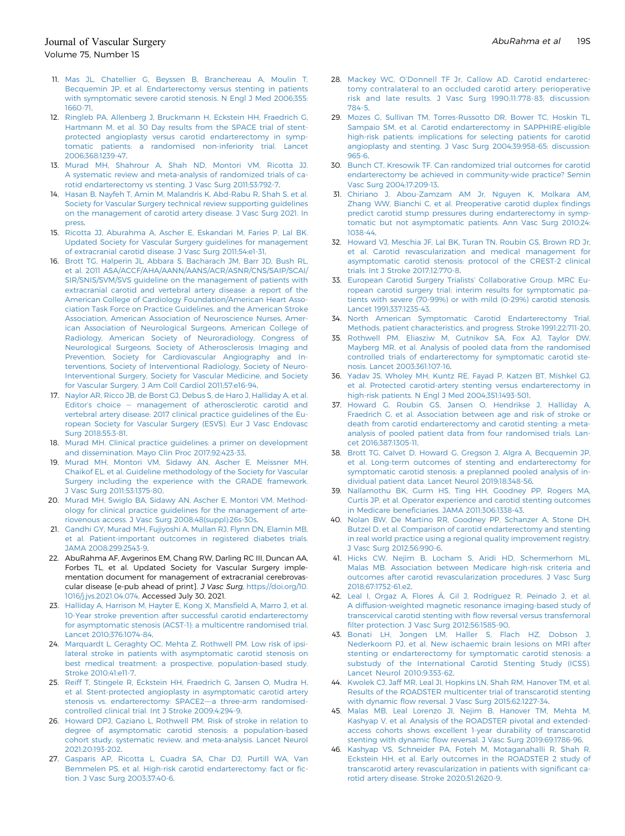- <span id="page-15-20"></span>11. [Mas JL, Chatellier G, Beyssen B, Branchereau A, Moulin T,](http://refhub.elsevier.com/S0741-5214(21)00893-4/sref11) [Becquemin JP, et al. Endarterectomy versus stenting in patients](http://refhub.elsevier.com/S0741-5214(21)00893-4/sref11) [with symptomatic severe carotid stenosis. N Engl J Med 2006;355:](http://refhub.elsevier.com/S0741-5214(21)00893-4/sref11) [1660-71](http://refhub.elsevier.com/S0741-5214(21)00893-4/sref11).
- <span id="page-15-21"></span>12. [Ringleb PA, Allenberg J, Bruckmann H, Eckstein HH, Fraedrich G,](http://refhub.elsevier.com/S0741-5214(21)00893-4/sref12) [Hartmann M, et al. 30 Day results from the SPACE trial of stent](http://refhub.elsevier.com/S0741-5214(21)00893-4/sref12)[protected angioplasty versus carotid endarterectomy in symp](http://refhub.elsevier.com/S0741-5214(21)00893-4/sref12)[tomatic patients: a randomised non-inferiority trial. Lancet](http://refhub.elsevier.com/S0741-5214(21)00893-4/sref12) [2006;368:1239-47.](http://refhub.elsevier.com/S0741-5214(21)00893-4/sref12)
- <span id="page-15-0"></span>13. [Murad MH, Shahrour A, Shah ND, Montori VM, Ricotta JJ.](http://refhub.elsevier.com/S0741-5214(21)00893-4/sref13) [A systematic review and meta-analysis of randomized trials of ca](http://refhub.elsevier.com/S0741-5214(21)00893-4/sref13)[rotid endarterectomy vs stenting. J Vasc Surg 2011;53:792-7.](http://refhub.elsevier.com/S0741-5214(21)00893-4/sref13)
- <span id="page-15-1"></span>14. [Hasan B, Nayfeh T, Amin M, Malandris K, Abd-Rabu R, Shah S, et al.](http://refhub.elsevier.com/S0741-5214(21)00893-4/sref14) [Society for Vascular Surgery technical review supporting guidelines](http://refhub.elsevier.com/S0741-5214(21)00893-4/sref14) [on the management of carotid artery disease. J Vasc Surg 2021. In](http://refhub.elsevier.com/S0741-5214(21)00893-4/sref14) [press](http://refhub.elsevier.com/S0741-5214(21)00893-4/sref14).
- <span id="page-15-2"></span>15. [Ricotta JJ, Aburahma A, Ascher E, Eskandari M, Faries P, Lal BK.](http://refhub.elsevier.com/S0741-5214(21)00893-4/sref15) [Updated Society for Vascular Surgery guidelines for management](http://refhub.elsevier.com/S0741-5214(21)00893-4/sref15) [of extracranial carotid disease. J Vasc Surg 2011;54:e1-31.](http://refhub.elsevier.com/S0741-5214(21)00893-4/sref15)
- <span id="page-15-3"></span>16. [Brott TG, Halperin JL, Abbara S, Bacharach JM, Barr JD, Bush RL,](http://refhub.elsevier.com/S0741-5214(21)00893-4/sref16) [et al. 2011 ASA/ACCF/AHA/AANN/AANS/ACR/ASNR/CNS/SAIP/SCAI/](http://refhub.elsevier.com/S0741-5214(21)00893-4/sref16) [SIR/SNIS/SVM/SVS guideline on the management of patients with](http://refhub.elsevier.com/S0741-5214(21)00893-4/sref16) [extracranial carotid and vertebral artery disease: a report of the](http://refhub.elsevier.com/S0741-5214(21)00893-4/sref16) [American College of Cardiology Foundation/American Heart Asso](http://refhub.elsevier.com/S0741-5214(21)00893-4/sref16)[ciation Task Force on Practice Guidelines, and the American Stroke](http://refhub.elsevier.com/S0741-5214(21)00893-4/sref16) [Association, American Association of Neuroscience Nurses, Amer](http://refhub.elsevier.com/S0741-5214(21)00893-4/sref16)[ican Association of Neurological Surgeons, American College of](http://refhub.elsevier.com/S0741-5214(21)00893-4/sref16) [Radiology, American Society of Neuroradiology, Congress of](http://refhub.elsevier.com/S0741-5214(21)00893-4/sref16) [Neurological Surgeons, Society of Atherosclerosis Imaging and](http://refhub.elsevier.com/S0741-5214(21)00893-4/sref16) [Prevention, Society for Cardiovascular Angiography and In](http://refhub.elsevier.com/S0741-5214(21)00893-4/sref16)[terventions, Society of Interventional Radiology, Society of Neuro-](http://refhub.elsevier.com/S0741-5214(21)00893-4/sref16)[Interventional Surgery, Society for Vascular Medicine, and Society](http://refhub.elsevier.com/S0741-5214(21)00893-4/sref16) [for Vascular Surgery. J Am Coll Cardiol 2011;57:e16-94](http://refhub.elsevier.com/S0741-5214(21)00893-4/sref16).
- <span id="page-15-4"></span>17. [Naylor AR, Ricco JB, de Borst GJ, Debus S, de Haro J, Halliday A, et al.](http://refhub.elsevier.com/S0741-5214(21)00893-4/sref17) Editor's choice - [management of atherosclerotic carotid and](http://refhub.elsevier.com/S0741-5214(21)00893-4/sref17) [vertebral artery disease: 2017 clinical practice guidelines of the Eu](http://refhub.elsevier.com/S0741-5214(21)00893-4/sref17)[ropean Society for Vascular Surgery \(ESVS\). Eur J Vasc Endovasc](http://refhub.elsevier.com/S0741-5214(21)00893-4/sref17) [Surg 2018;55:3-81](http://refhub.elsevier.com/S0741-5214(21)00893-4/sref17).
- <span id="page-15-5"></span>18. [Murad MH. Clinical practice guidelines: a primer on development](http://refhub.elsevier.com/S0741-5214(21)00893-4/sref18) [and dissemination. Mayo Clin Proc 2017;92:423-33.](http://refhub.elsevier.com/S0741-5214(21)00893-4/sref18)
- <span id="page-15-6"></span>19. [Murad MH, Montori VM, Sidawy AN, Ascher E, Meissner MH,](http://refhub.elsevier.com/S0741-5214(21)00893-4/sref19) [Chaikof EL, et al. Guideline methodology of the Society for Vascular](http://refhub.elsevier.com/S0741-5214(21)00893-4/sref19) [Surgery including the experience with the GRADE framework.](http://refhub.elsevier.com/S0741-5214(21)00893-4/sref19) [J Vasc Surg 2011;53:1375-80](http://refhub.elsevier.com/S0741-5214(21)00893-4/sref19).
- <span id="page-15-7"></span>20. [Murad MH, Swiglo BA, Sidawy AN, Ascher E, Montori VM. Method](http://refhub.elsevier.com/S0741-5214(21)00893-4/sref20)[ology for clinical practice guidelines for the management of arte](http://refhub.elsevier.com/S0741-5214(21)00893-4/sref20)[riovenous access. J Vasc Surg 2008;48\(suppl\):26s-30s](http://refhub.elsevier.com/S0741-5214(21)00893-4/sref20).
- <span id="page-15-8"></span>21. [Gandhi GY, Murad MH, Fujiyoshi A, Mullan RJ, Flynn DN, Elamin MB,](http://refhub.elsevier.com/S0741-5214(21)00893-4/sref21) [et al. Patient-important outcomes in registered diabetes trials.](http://refhub.elsevier.com/S0741-5214(21)00893-4/sref21) [JAMA 2008;299:2543-9.](http://refhub.elsevier.com/S0741-5214(21)00893-4/sref21)
- <span id="page-15-9"></span>22. AbuRahma AF, Avgerinos EM, Chang RW, Darling RC III, Duncan AA, Forbes TL, et al. Updated Society for Vascular Surgery implementation document for management of extracranial cerebrovascular disease [e-pub ahead of print]. J Vasc Surg, [https://doi.org/10.](https://doi.org/10.1016/j.jvs.2021.04.074) [1016/j.jvs.2021.04.074](https://doi.org/10.1016/j.jvs.2021.04.074). Accessed July 30, 2021.
- <span id="page-15-10"></span>23. [Halliday A, Harrison M, Hayter E, Kong X, Mans](http://refhub.elsevier.com/S0741-5214(21)00893-4/sref23)field A, Marro J, et al. [10-Year stroke prevention after successful carotid endarterectomy](http://refhub.elsevier.com/S0741-5214(21)00893-4/sref23) [for asymptomatic stenosis \(ACST-1\): a multicentre randomised trial.](http://refhub.elsevier.com/S0741-5214(21)00893-4/sref23) [Lancet 2010;376:1074-84](http://refhub.elsevier.com/S0741-5214(21)00893-4/sref23).
- <span id="page-15-11"></span>24. [Marquardt L, Geraghty OC, Mehta Z, Rothwell PM. Low risk of ipsi](http://refhub.elsevier.com/S0741-5214(21)00893-4/sref24)[lateral stroke in patients with asymptomatic carotid stenosis on](http://refhub.elsevier.com/S0741-5214(21)00893-4/sref24) [best medical treatment: a prospective, population-based study.](http://refhub.elsevier.com/S0741-5214(21)00893-4/sref24) [Stroke 2010;41:e11-7.](http://refhub.elsevier.com/S0741-5214(21)00893-4/sref24)
- <span id="page-15-12"></span>25. [Reiff T, Stingele R, Eckstein HH, Fraedrich G, Jansen O, Mudra H,](http://refhub.elsevier.com/S0741-5214(21)00893-4/sref25) [et al. Stent-protected angioplasty in asymptomatic carotid artery](http://refhub.elsevier.com/S0741-5214(21)00893-4/sref25) [stenosis vs. endarterectomy: SPACE2](http://refhub.elsevier.com/S0741-5214(21)00893-4/sref25)-a three-arm randomised[controlled clinical trial. Int J Stroke 2009;4:294-9](http://refhub.elsevier.com/S0741-5214(21)00893-4/sref25).
- <span id="page-15-13"></span>26. [Howard DPJ, Gaziano L, Rothwell PM. Risk of stroke in relation to](http://refhub.elsevier.com/S0741-5214(21)00893-4/sref26) [degree of asymptomatic carotid stenosis: a population-based](http://refhub.elsevier.com/S0741-5214(21)00893-4/sref26) [cohort study, systematic review, and meta-analysis. Lancet Neurol](http://refhub.elsevier.com/S0741-5214(21)00893-4/sref26) [2021;20:193-202](http://refhub.elsevier.com/S0741-5214(21)00893-4/sref26).
- <span id="page-15-14"></span>27. [Gasparis AP, Ricotta L, Cuadra SA, Char DJ, Purtill WA, Van](http://refhub.elsevier.com/S0741-5214(21)00893-4/sref27) [Bemmelen PS, et al. High-risk carotid endarterectomy: fact or](http://refhub.elsevier.com/S0741-5214(21)00893-4/sref27) fic[tion. J Vasc Surg 2003;37:40-6](http://refhub.elsevier.com/S0741-5214(21)00893-4/sref27).
- 28. Mackey WC, O'[Donnell TF Jr, Callow AD. Carotid endarterec](http://refhub.elsevier.com/S0741-5214(21)00893-4/sref28)[tomy contralateral to an occluded](http://refhub.elsevier.com/S0741-5214(21)00893-4/sref28) carotid artery: perioperative [risk and late results. J Vasc Surg 1990;11:778-83; discussion:](http://refhub.elsevier.com/S0741-5214(21)00893-4/sref28) [784-5.](http://refhub.elsevier.com/S0741-5214(21)00893-4/sref28)
- 29. [Mozes G, Sullivan TM, Torres-Russotto DR, Bower TC, Hoskin TL,](http://refhub.elsevier.com/S0741-5214(21)00893-4/sref29) [Sampaio SM, et al. Carotid endarterectomy in SAPPHIRE-eligible](http://refhub.elsevier.com/S0741-5214(21)00893-4/sref29) [high-risk patients: implications for selecting patients for carotid](http://refhub.elsevier.com/S0741-5214(21)00893-4/sref29) [angioplasty and stenting. J Vasc Surg 2004;39:958-65; discussion:](http://refhub.elsevier.com/S0741-5214(21)00893-4/sref29) [965-6](http://refhub.elsevier.com/S0741-5214(21)00893-4/sref29).
- <span id="page-15-15"></span>30. [Bunch CT, Kresowik TF. Can randomized trial outcomes for carotid](http://refhub.elsevier.com/S0741-5214(21)00893-4/sref30) [endarterectomy be achieved in community-wide practice? Semin](http://refhub.elsevier.com/S0741-5214(21)00893-4/sref30) [Vasc Surg 2004;17:209-13](http://refhub.elsevier.com/S0741-5214(21)00893-4/sref30).
- <span id="page-15-16"></span>31. [Chiriano J, Abou-Zamzam AM Jr, Nguyen K, Molkara AM,](http://refhub.elsevier.com/S0741-5214(21)00893-4/sref31) [Zhang WW, Bianchi C, et al. Preoperative carotid duplex](http://refhub.elsevier.com/S0741-5214(21)00893-4/sref31) findings [predict carotid stump pressures during endarterectomy in symp](http://refhub.elsevier.com/S0741-5214(21)00893-4/sref31)[tomatic but not asymptomatic patients. Ann Vasc Surg 2010;24:](http://refhub.elsevier.com/S0741-5214(21)00893-4/sref31) [1038-44](http://refhub.elsevier.com/S0741-5214(21)00893-4/sref31).
- <span id="page-15-17"></span>32. [Howard VJ, Meschia JF, Lal BK, Turan TN, Roubin GS, Brown RD Jr,](http://refhub.elsevier.com/S0741-5214(21)00893-4/sref32) [et al. Carotid revascularization and medical management for](http://refhub.elsevier.com/S0741-5214(21)00893-4/sref32) [asymptomatic carotid stenosis: protocol of the CREST-2 clinical](http://refhub.elsevier.com/S0741-5214(21)00893-4/sref32) [trials. Int J Stroke 2017;12:770-8](http://refhub.elsevier.com/S0741-5214(21)00893-4/sref32).
- <span id="page-15-18"></span>33. [European Carotid Surgery Trialists](http://refhub.elsevier.com/S0741-5214(21)00893-4/sref33)' Collaborative Group. MRC Eu[ropean carotid surgery trial: interim results for symptomatic pa](http://refhub.elsevier.com/S0741-5214(21)00893-4/sref33)[tients with severe \(70-99%\) or with mild \(0-29%\) carotid stenosis.](http://refhub.elsevier.com/S0741-5214(21)00893-4/sref33) [Lancet 1991;337:1235-43.](http://refhub.elsevier.com/S0741-5214(21)00893-4/sref33)
- 34. [North American Symptomatic Carotid Endarterectomy Trial.](http://refhub.elsevier.com/S0741-5214(21)00893-4/sref34) [Methods, patient characteristics, and progress. Stroke 1991;22:711-20.](http://refhub.elsevier.com/S0741-5214(21)00893-4/sref34)
- 35. [Rothwell PM, Eliasziw M, Gutnikov SA, Fox AJ, Taylor DW,](http://refhub.elsevier.com/S0741-5214(21)00893-4/sref35) [Mayberg MR, et al. Analysis of pooled data from the randomised](http://refhub.elsevier.com/S0741-5214(21)00893-4/sref35) [controlled trials of endarterectomy for symptomatic carotid ste](http://refhub.elsevier.com/S0741-5214(21)00893-4/sref35)[nosis. Lancet 2003;361:107-16](http://refhub.elsevier.com/S0741-5214(21)00893-4/sref35).
- <span id="page-15-19"></span>36. [Yadav JS, Wholey MH, Kuntz RE, Fayad P, Katzen BT, Mishkel GJ,](http://refhub.elsevier.com/S0741-5214(21)00893-4/sref36) [et al. Protected carotid-artery stenting versus endarterectomy in](http://refhub.elsevier.com/S0741-5214(21)00893-4/sref36) [high-risk patients. N Engl J Med 2004;351:1493-501](http://refhub.elsevier.com/S0741-5214(21)00893-4/sref36).
- <span id="page-15-22"></span>37. [Howard G, Roubin GS, Jansen O, Hendrikse J, Halliday A,](http://refhub.elsevier.com/S0741-5214(21)00893-4/sref37) [Fraedrich G, et al. Association between age and risk of stroke or](http://refhub.elsevier.com/S0741-5214(21)00893-4/sref37) [death from carotid endarterectomy and carotid stenting: a meta](http://refhub.elsevier.com/S0741-5214(21)00893-4/sref37)[analysis of pooled patient data from four randomised trials. Lan](http://refhub.elsevier.com/S0741-5214(21)00893-4/sref37)[cet 2016;387:1305-11.](http://refhub.elsevier.com/S0741-5214(21)00893-4/sref37)
- <span id="page-15-23"></span>38. [Brott TG, Calvet D, Howard G, Gregson J, Algra A, Becquemin JP,](http://refhub.elsevier.com/S0741-5214(21)00893-4/sref38) [et al. Long-term outcomes of stenting and endarterectomy for](http://refhub.elsevier.com/S0741-5214(21)00893-4/sref38) [symptomatic carotid stenosis: a preplanned pooled analysis of in](http://refhub.elsevier.com/S0741-5214(21)00893-4/sref38)[dividual patient data. Lancet Neurol 2019;18:348-56](http://refhub.elsevier.com/S0741-5214(21)00893-4/sref38).
- <span id="page-15-24"></span>39. [Nallamothu BK, Gurm HS, Ting HH, Goodney PP, Rogers MA,](http://refhub.elsevier.com/S0741-5214(21)00893-4/sref39) [Curtis JP, et al. Operator experience and carotid stenting outcomes](http://refhub.elsevier.com/S0741-5214(21)00893-4/sref39) in Medicare benefi[ciaries. JAMA 2011;306:1338-43](http://refhub.elsevier.com/S0741-5214(21)00893-4/sref39).
- <span id="page-15-25"></span>40. [Nolan BW, De Martino RR, Goodney PP, Schanzer A, Stone DH,](http://refhub.elsevier.com/S0741-5214(21)00893-4/sref40) [Butzel D, et al. Comparison of carotid endarterectomy and stenting](http://refhub.elsevier.com/S0741-5214(21)00893-4/sref40) [in real world practice using a regional quality improvement registry.](http://refhub.elsevier.com/S0741-5214(21)00893-4/sref40) [J Vasc Surg 2012;56:990-6.](http://refhub.elsevier.com/S0741-5214(21)00893-4/sref40)
- <span id="page-15-26"></span>41. [Hicks CW, Nejim B, Locham S, Aridi HD, Schermerhorn ML,](http://refhub.elsevier.com/S0741-5214(21)00893-4/sref41) [Malas MB. Association between Medicare high-risk criteria and](http://refhub.elsevier.com/S0741-5214(21)00893-4/sref41) [outcomes after carotid revascularization procedures. J Vasc Surg](http://refhub.elsevier.com/S0741-5214(21)00893-4/sref41) [2018;67:1752-61.e2.](http://refhub.elsevier.com/S0741-5214(21)00893-4/sref41)
- <span id="page-15-27"></span>42. [Leal I, Orgaz A, Flores Á, Gil J, Rodríguez R, Peinado J, et al.](http://refhub.elsevier.com/S0741-5214(21)00893-4/sref42) [A diffusion-weighted magnetic resonance imaging-based study of](http://refhub.elsevier.com/S0741-5214(21)00893-4/sref42) [transcervical carotid stenting with](http://refhub.elsevier.com/S0741-5214(21)00893-4/sref42) flow reversal versus transfemoral fi[lter protection. J Vasc Surg 2012;56:1585-90.](http://refhub.elsevier.com/S0741-5214(21)00893-4/sref42)
- <span id="page-15-28"></span>43. [Bonati LH, Jongen LM, Haller S, Flach HZ, Dobson J,](http://refhub.elsevier.com/S0741-5214(21)00893-4/sref43) [Nederkoorn PJ, et al. New ischaemic brain lesions on MRI after](http://refhub.elsevier.com/S0741-5214(21)00893-4/sref43) [stenting or endarterectomy for symptomatic carotid stenosis: a](http://refhub.elsevier.com/S0741-5214(21)00893-4/sref43) [substudy of the International Carotid Stenting Study \(ICSS\).](http://refhub.elsevier.com/S0741-5214(21)00893-4/sref43) [Lancet Neurol 2010;9:353-62](http://refhub.elsevier.com/S0741-5214(21)00893-4/sref43).
- <span id="page-15-29"></span>44. [Kwolek CJ, Jaff MR, Leal JI, Hopkins LN, Shah RM, Hanover TM, et al.](http://refhub.elsevier.com/S0741-5214(21)00893-4/sref44) [Results of the ROADSTER multicenter trial of transcarotid stenting](http://refhub.elsevier.com/S0741-5214(21)00893-4/sref44) with dynamic fl[ow reversal. J Vasc Surg 2015;62:1227-34](http://refhub.elsevier.com/S0741-5214(21)00893-4/sref44).
- <span id="page-15-30"></span>45. [Malas MB, Leal Lorenzo JI, Nejim B, Hanover TM, Mehta M,](http://refhub.elsevier.com/S0741-5214(21)00893-4/sref45) [Kashyap V, et al. Analysis of the ROADSTER pivotal and extended](http://refhub.elsevier.com/S0741-5214(21)00893-4/sref45)[access cohorts shows excellent 1-year durability of transcarotid](http://refhub.elsevier.com/S0741-5214(21)00893-4/sref45) stenting with dynamic fl[ow reversal. J Vasc Surg 2019;69:1786-96.](http://refhub.elsevier.com/S0741-5214(21)00893-4/sref45)
- 46. [Kashyap VS, Schneider PA, Foteh M, Motaganahalli R, Shah R,](http://refhub.elsevier.com/S0741-5214(21)00893-4/sref46) [Eckstein HH, et al. Early outcomes in the ROADSTER 2 study of](http://refhub.elsevier.com/S0741-5214(21)00893-4/sref46) [transcarotid artery revascularization in patients with signi](http://refhub.elsevier.com/S0741-5214(21)00893-4/sref46)ficant ca[rotid artery disease. Stroke 2020;51:2620-9](http://refhub.elsevier.com/S0741-5214(21)00893-4/sref46).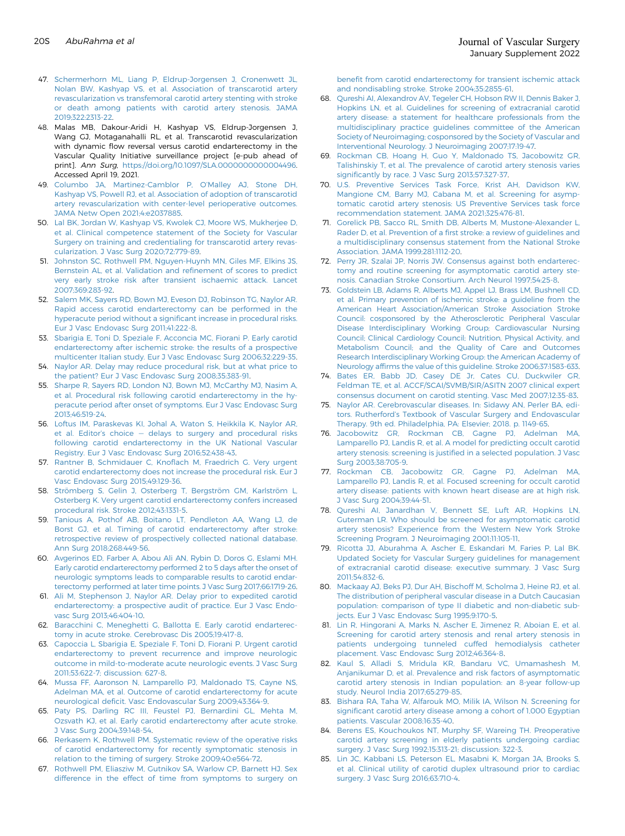- <span id="page-16-0"></span>47. [Schermerhorn ML, Liang P, Eldrup-Jorgensen J, Cronenwett JL,](http://refhub.elsevier.com/S0741-5214(21)00893-4/sref47) [Nolan BW, Kashyap VS, et al. Association of transcarotid artery](http://refhub.elsevier.com/S0741-5214(21)00893-4/sref47) [revascularization vs transfemoral carotid artery stenting with stroke](http://refhub.elsevier.com/S0741-5214(21)00893-4/sref47) [or death among patients with carotid artery stenosis. JAMA](http://refhub.elsevier.com/S0741-5214(21)00893-4/sref47) [2019;322:2313-22.](http://refhub.elsevier.com/S0741-5214(21)00893-4/sref47)
- <span id="page-16-1"></span>48. Malas MB, Dakour-Aridi H, Kashyap VS, Eldrup-Jorgensen J, Wang GJ, Motaganahalli RL, et al. Transcarotid revascularization with dynamic flow reversal versus carotid endarterectomy in the Vascular Quality Initiative surveillance project [e-pub ahead of print]. Ann Surg, <https://doi.org/10.1097/SLA.0000000000004496>. Accessed April 19, 2021.
- <span id="page-16-2"></span>49. [Columbo JA, Martinez-Camblor P, O](http://refhub.elsevier.com/S0741-5214(21)00893-4/sref49)'Malley AJ, Stone DH, [Kashyap VS, Powell RJ, et al. Association of adoption of transcarotid](http://refhub.elsevier.com/S0741-5214(21)00893-4/sref49) [artery revascularization with center-level perioperative outcomes.](http://refhub.elsevier.com/S0741-5214(21)00893-4/sref49) [JAMA Netw Open 2021;4:e2037885.](http://refhub.elsevier.com/S0741-5214(21)00893-4/sref49)
- <span id="page-16-3"></span>50. [Lal BK, Jordan W, Kashyap VS, Kwolek CJ, Moore WS, Mukherjee D,](http://refhub.elsevier.com/S0741-5214(21)00893-4/sref50) [et al. Clinical competence statement of the Society for Vascular](http://refhub.elsevier.com/S0741-5214(21)00893-4/sref50) [Surgery on training and credentialing for transcarotid artery revas](http://refhub.elsevier.com/S0741-5214(21)00893-4/sref50)[cularization. J Vasc Surg 2020;72:779-89.](http://refhub.elsevier.com/S0741-5214(21)00893-4/sref50)
- <span id="page-16-4"></span>51. [Johnston SC, Rothwell PM, Nguyen-Huynh MN, Giles MF, Elkins JS,](http://refhub.elsevier.com/S0741-5214(21)00893-4/sref51) [Bernstein AL, et al. Validation and re](http://refhub.elsevier.com/S0741-5214(21)00893-4/sref51)finement of scores to predict [very early stroke risk after transient ischaemic attack. Lancet](http://refhub.elsevier.com/S0741-5214(21)00893-4/sref51) [2007;369:283-92](http://refhub.elsevier.com/S0741-5214(21)00893-4/sref51).
- 52. [Salem MK, Sayers RD, Bown MJ, Eveson DJ, Robinson TG, Naylor AR.](http://refhub.elsevier.com/S0741-5214(21)00893-4/sref52) [Rapid access carotid endarterectomy can be performed in the](http://refhub.elsevier.com/S0741-5214(21)00893-4/sref52) [hyperacute period without a signi](http://refhub.elsevier.com/S0741-5214(21)00893-4/sref52)ficant increase in procedural risks. [Eur J Vasc Endovasc Surg 2011;41:222-8](http://refhub.elsevier.com/S0741-5214(21)00893-4/sref52).
- 53. [Sbarigia E, Toni D, Speziale F, Acconcia MC, Fiorani P. Early carotid](http://refhub.elsevier.com/S0741-5214(21)00893-4/sref53) [endarterectomy after ischemic stroke: the results of a prospective](http://refhub.elsevier.com/S0741-5214(21)00893-4/sref53) [multicenter Italian study. Eur J Vasc Endovasc Surg 2006;32:229-35](http://refhub.elsevier.com/S0741-5214(21)00893-4/sref53).
- <span id="page-16-5"></span>54. [Naylor AR. Delay may reduce procedural risk, but at what price to](http://refhub.elsevier.com/S0741-5214(21)00893-4/sref54) [the patient? Eur J Vasc Endovasc Surg 2008;35:383-91](http://refhub.elsevier.com/S0741-5214(21)00893-4/sref54).
- <span id="page-16-6"></span>55. [Sharpe R, Sayers RD, London NJ, Bown MJ, McCarthy MJ, Nasim A,](http://refhub.elsevier.com/S0741-5214(21)00893-4/sref55) [et al. Procedural risk following carotid endarterectomy in the hy](http://refhub.elsevier.com/S0741-5214(21)00893-4/sref55)[peracute period after onset of symptoms. Eur J Vasc Endovasc Surg](http://refhub.elsevier.com/S0741-5214(21)00893-4/sref55) [2013;46:519-24.](http://refhub.elsevier.com/S0741-5214(21)00893-4/sref55)
- <span id="page-16-7"></span>56. [Loftus IM, Paraskevas KI, Johal A, Waton S, Heikkila K, Naylor AR,](http://refhub.elsevier.com/S0741-5214(21)00893-4/sref56) et al. Editor's choice  $-$  [delays to surgery and procedural risks](http://refhub.elsevier.com/S0741-5214(21)00893-4/sref56) [following carotid endarterectomy in the UK National Vascular](http://refhub.elsevier.com/S0741-5214(21)00893-4/sref56) [Registry. Eur J Vasc Endovasc Surg 2016;52:438-43](http://refhub.elsevier.com/S0741-5214(21)00893-4/sref56).
- 57. Rantner B, Schmidauer C, Knofl[ach M, Fraedrich G. Very urgent](http://refhub.elsevier.com/S0741-5214(21)00893-4/sref57) [carotid endarterectomy does not increase the procedural risk. Eur J](http://refhub.elsevier.com/S0741-5214(21)00893-4/sref57) [Vasc Endovasc Surg 2015;49:129-36.](http://refhub.elsevier.com/S0741-5214(21)00893-4/sref57)
- <span id="page-16-10"></span>58. [Strömberg S, Gelin J, Osterberg T, Bergström GM, Karlström L,](http://refhub.elsevier.com/S0741-5214(21)00893-4/sref58) [Osterberg K. Very urgent carotid endarterectomy confers increased](http://refhub.elsevier.com/S0741-5214(21)00893-4/sref58) [procedural risk. Stroke 2012;43:1331-5](http://refhub.elsevier.com/S0741-5214(21)00893-4/sref58).
- <span id="page-16-8"></span>59. [Tanious A, Pothof AB, Boitano LT, Pendleton AA, Wang LJ, de](http://refhub.elsevier.com/S0741-5214(21)00893-4/sref59) [Borst GJ, et al. Timing of carotid endarterectomy after stroke:](http://refhub.elsevier.com/S0741-5214(21)00893-4/sref59) [retrospective review of prospectively collected national database.](http://refhub.elsevier.com/S0741-5214(21)00893-4/sref59) [Ann Surg 2018;268:449-56.](http://refhub.elsevier.com/S0741-5214(21)00893-4/sref59)
- <span id="page-16-9"></span>60. [Avgerinos ED, Farber A, Abou Ali AN, Rybin D, Doros G, Eslami MH.](http://refhub.elsevier.com/S0741-5214(21)00893-4/sref60) [Early carotid endarterectomy performed 2 to 5 days after the onset of](http://refhub.elsevier.com/S0741-5214(21)00893-4/sref60) [neurologic symptoms leads to comparable results to carotid endar](http://refhub.elsevier.com/S0741-5214(21)00893-4/sref60)[terectomy performed at later time points. J Vasc Surg 2017;66:1719-26](http://refhub.elsevier.com/S0741-5214(21)00893-4/sref60).
- <span id="page-16-11"></span>61. [Ali M, Stephenson J, Naylor AR. Delay prior to expedited carotid](http://refhub.elsevier.com/S0741-5214(21)00893-4/sref61) [endarterectomy: a prospective audit of practice. Eur J Vasc Endo](http://refhub.elsevier.com/S0741-5214(21)00893-4/sref61)[vasc Surg 2013;46:404-10.](http://refhub.elsevier.com/S0741-5214(21)00893-4/sref61)
- 62. [Baracchini C, Meneghetti G, Ballotta E. Early carotid endarterec](http://refhub.elsevier.com/S0741-5214(21)00893-4/sref62)[tomy in acute stroke. Cerebrovasc Dis 2005;19:417-8](http://refhub.elsevier.com/S0741-5214(21)00893-4/sref62).
- 63. [Capoccia L, Sbarigia E, Speziale F, Toni D, Fiorani P. Urgent carotid](http://refhub.elsevier.com/S0741-5214(21)00893-4/sref63) [endarterectomy to prevent recurrence and improve neurologic](http://refhub.elsevier.com/S0741-5214(21)00893-4/sref63) [outcome in mild-to-moderate acute neurologic events. J Vasc Surg](http://refhub.elsevier.com/S0741-5214(21)00893-4/sref63) [2011;53:622-7; discussion: 627-8.](http://refhub.elsevier.com/S0741-5214(21)00893-4/sref63)
- 64. [Mussa FF, Aaronson N, Lamparello PJ, Maldonado TS, Cayne NS,](http://refhub.elsevier.com/S0741-5214(21)00893-4/sref64) [Adelman MA, et al. Outcome of carotid endarterectomy for acute](http://refhub.elsevier.com/S0741-5214(21)00893-4/sref64) neurological defi[cit. Vasc Endovascular Surg 2009;43:364-9](http://refhub.elsevier.com/S0741-5214(21)00893-4/sref64).
- 65. [Paty PS, Darling RC III, Feustel PJ, Bernardini GL, Mehta M,](http://refhub.elsevier.com/S0741-5214(21)00893-4/sref65) [Ozsvath KJ, et al. Early carotid endarterectomy after acute stroke.](http://refhub.elsevier.com/S0741-5214(21)00893-4/sref65) [J Vasc Surg 2004;39:148-54.](http://refhub.elsevier.com/S0741-5214(21)00893-4/sref65)
- 66. [Rerkasem K, Rothwell PM. Systematic review of the operative risks](http://refhub.elsevier.com/S0741-5214(21)00893-4/sref66) [of carotid endarterectomy for recently symptomatic stenosis in](http://refhub.elsevier.com/S0741-5214(21)00893-4/sref66) [relation to the timing of surgery. Stroke 2009;40:e564-72.](http://refhub.elsevier.com/S0741-5214(21)00893-4/sref66)
- 67. [Rothwell PM, Eliasziw M, Gutnikov SA, Warlow CP, Barnett HJ. Sex](http://refhub.elsevier.com/S0741-5214(21)00893-4/sref67) [difference in the effect of time from symptoms to surgery on](http://refhub.elsevier.com/S0741-5214(21)00893-4/sref67)

benefi[t from carotid endarterectomy for transient ischemic attack](http://refhub.elsevier.com/S0741-5214(21)00893-4/sref67) [and nondisabling stroke. Stroke 2004;35:2855-61](http://refhub.elsevier.com/S0741-5214(21)00893-4/sref67).

- <span id="page-16-12"></span>68. [Qureshi AI, Alexandrov AV, Tegeler CH, Hobson RW II, Dennis Baker J,](http://refhub.elsevier.com/S0741-5214(21)00893-4/sref68) [Hopkins LN, et al. Guidelines for screening of extracranial carotid](http://refhub.elsevier.com/S0741-5214(21)00893-4/sref68) [artery disease: a statement for healthcare professionals from the](http://refhub.elsevier.com/S0741-5214(21)00893-4/sref68) [multidisciplinary practice guidelines committee of the American](http://refhub.elsevier.com/S0741-5214(21)00893-4/sref68) [Society of Neuroimaging; cosponsored by the Society of Vascular and](http://refhub.elsevier.com/S0741-5214(21)00893-4/sref68) [Interventional Neurology. J Neuroimaging 2007;17:19-47](http://refhub.elsevier.com/S0741-5214(21)00893-4/sref68).
- <span id="page-16-13"></span>[Rockman CB, Hoang H, Guo Y, Maldonado TS, Jacobowitz GR,](http://refhub.elsevier.com/S0741-5214(21)00893-4/sref69) [Talishinskiy T, et al. The prevalence of carotid artery stenosis varies](http://refhub.elsevier.com/S0741-5214(21)00893-4/sref69) signifi[cantly by race. J Vasc Surg 2013;57:327-37](http://refhub.elsevier.com/S0741-5214(21)00893-4/sref69).
- <span id="page-16-14"></span>70. [U.S. Preventive Services Task Force, Krist AH, Davidson KW,](http://refhub.elsevier.com/S0741-5214(21)00893-4/sref70) [Mangione CM, Barry MJ, Cabana M, et al. Screening for asymp](http://refhub.elsevier.com/S0741-5214(21)00893-4/sref70)[tomatic carotid artery stenosis: US Preventive Services task force](http://refhub.elsevier.com/S0741-5214(21)00893-4/sref70) [recommendation statement. JAMA 2021;325:476-81](http://refhub.elsevier.com/S0741-5214(21)00893-4/sref70).
- <span id="page-16-15"></span>71. [Gorelick PB, Sacco RL, Smith DB, Alberts M, Mustone-Alexander L,](http://refhub.elsevier.com/S0741-5214(21)00893-4/sref71) Rader D, et al. Prevention of a fi[rst stroke: a review of guidelines and](http://refhub.elsevier.com/S0741-5214(21)00893-4/sref71) [a multidisciplinary consensus statement from the National Stroke](http://refhub.elsevier.com/S0741-5214(21)00893-4/sref71) [Association. JAMA 1999;281:1112-20.](http://refhub.elsevier.com/S0741-5214(21)00893-4/sref71)
- <span id="page-16-16"></span>72. [Perry JR, Szalai JP, Norris JW. Consensus against both endarterec](http://refhub.elsevier.com/S0741-5214(21)00893-4/sref72)[tomy and routine screening for asymptomatic carotid artery ste](http://refhub.elsevier.com/S0741-5214(21)00893-4/sref72)[nosis. Canadian Stroke Consortium. Arch Neurol 1997;54:25-8](http://refhub.elsevier.com/S0741-5214(21)00893-4/sref72).
- <span id="page-16-17"></span>73. [Goldstein LB, Adams R, Alberts MJ, Appel LJ, Brass LM, Bushnell CD,](http://refhub.elsevier.com/S0741-5214(21)00893-4/sref73) [et al. Primary prevention of ischemic stroke: a guideline from the](http://refhub.elsevier.com/S0741-5214(21)00893-4/sref73) [American Heart Association/American Stroke Association Stroke](http://refhub.elsevier.com/S0741-5214(21)00893-4/sref73) [Council: cosponsored by the Atherosclerotic Peripheral Vascular](http://refhub.elsevier.com/S0741-5214(21)00893-4/sref73) [Disease Interdisciplinary Working Group; Cardiovascular Nursing](http://refhub.elsevier.com/S0741-5214(21)00893-4/sref73) [Council; Clinical Cardiology Council; Nutrition, Physical Activity, and](http://refhub.elsevier.com/S0741-5214(21)00893-4/sref73) [Metabolism Council; and the Quality of Care and Outcomes](http://refhub.elsevier.com/S0741-5214(21)00893-4/sref73) [Research Interdisciplinary Working Group: the American Academy of](http://refhub.elsevier.com/S0741-5214(21)00893-4/sref73) Neurology affi[rms the value of this guideline. Stroke 2006;37:1583-633.](http://refhub.elsevier.com/S0741-5214(21)00893-4/sref73)
- <span id="page-16-18"></span>74. [Bates ER, Babb JD, Casey DE Jr, Cates CU, Duckwiler GR,](http://refhub.elsevier.com/S0741-5214(21)00893-4/sref74) [Feldman TE, et al. ACCF/SCAI/SVMB/SIR/ASITN 2007 clinical expert](http://refhub.elsevier.com/S0741-5214(21)00893-4/sref74) [consensus document on carotid stenting. Vasc Med 2007;12:35-83](http://refhub.elsevier.com/S0741-5214(21)00893-4/sref74).
- <span id="page-16-19"></span>75. [Naylor AR. Cerebrovascular diseases. In: Sidawy AN, Perler BA, edi](http://refhub.elsevier.com/S0741-5214(21)00893-4/sref75)tors. Rutherford'[s Textbook of Vascular Surgery and Endovascular](http://refhub.elsevier.com/S0741-5214(21)00893-4/sref75) [Therapy. 9th ed. Philadelphia, PA: Elsevier; 2018. p. 1149-65.](http://refhub.elsevier.com/S0741-5214(21)00893-4/sref75)
- <span id="page-16-20"></span>76. [Jacobowitz GR, Rockman CB, Gagne PJ, Adelman MA,](http://refhub.elsevier.com/S0741-5214(21)00893-4/sref76) [Lamparello PJ, Landis R, et al. A model for predicting occult carotid](http://refhub.elsevier.com/S0741-5214(21)00893-4/sref76) artery stenosis: screening is justifi[ed in a selected population. J Vasc](http://refhub.elsevier.com/S0741-5214(21)00893-4/sref76) [Surg 2003;38:705-9](http://refhub.elsevier.com/S0741-5214(21)00893-4/sref76).
- <span id="page-16-21"></span>77. [Rockman CB, Jacobowitz GR, Gagne PJ, Adelman MA,](http://refhub.elsevier.com/S0741-5214(21)00893-4/sref77) [Lamparello PJ, Landis R, et al. Focused screening for occult carotid](http://refhub.elsevier.com/S0741-5214(21)00893-4/sref77) [artery disease: patients with known heart disease are at high risk.](http://refhub.elsevier.com/S0741-5214(21)00893-4/sref77) [J Vasc Surg 2004;39:44-51.](http://refhub.elsevier.com/S0741-5214(21)00893-4/sref77)
- <span id="page-16-22"></span>78. [Qureshi AI, Janardhan V, Bennett SE, Luft AR, Hopkins LN,](http://refhub.elsevier.com/S0741-5214(21)00893-4/sref78) [Guterman LR. Who should be screened for asymptomatic carotid](http://refhub.elsevier.com/S0741-5214(21)00893-4/sref78) [artery stenosis? Experience from the Western New York Stroke](http://refhub.elsevier.com/S0741-5214(21)00893-4/sref78) [Screening Program. J Neuroimaging 2001;11:105-11](http://refhub.elsevier.com/S0741-5214(21)00893-4/sref78).
- <span id="page-16-23"></span>79. [Ricotta JJ, Aburahma A, Ascher E, Eskandari M, Faries P, Lal BK.](http://refhub.elsevier.com/S0741-5214(21)00893-4/sref79) [Updated Society for Vascular Surgery guidelines for management](http://refhub.elsevier.com/S0741-5214(21)00893-4/sref79) [of extracranial carotid disease: executive summary. J Vasc Surg](http://refhub.elsevier.com/S0741-5214(21)00893-4/sref79) [2011;54:832-6](http://refhub.elsevier.com/S0741-5214(21)00893-4/sref79).
- <span id="page-16-24"></span>80. [Mackaay AJ, Beks PJ, Dur AH, Bischoff M, Scholma J, Heine RJ, et al.](http://refhub.elsevier.com/S0741-5214(21)00893-4/sref80) [The distribution of peripheral vascular disease in a Dutch Caucasian](http://refhub.elsevier.com/S0741-5214(21)00893-4/sref80) [population: comparison of type II diabetic and non-diabetic sub](http://refhub.elsevier.com/S0741-5214(21)00893-4/sref80)[jects. Eur J Vasc Endovasc Surg 1995;9:170-5](http://refhub.elsevier.com/S0741-5214(21)00893-4/sref80).
- <span id="page-16-25"></span>81. [Lin R, Hingorani A, Marks N, Ascher E, Jimenez R, Aboian E, et al.](http://refhub.elsevier.com/S0741-5214(21)00893-4/sref81) [Screening for carotid artery stenosis and renal artery stenosis in](http://refhub.elsevier.com/S0741-5214(21)00893-4/sref81) [patients undergoing tunneled cuffed hemodialysis catheter](http://refhub.elsevier.com/S0741-5214(21)00893-4/sref81) [placement. Vasc Endovasc Surg 2012;46:364-8.](http://refhub.elsevier.com/S0741-5214(21)00893-4/sref81)
- <span id="page-16-26"></span>82. [Kaul S, Alladi S, Mridula KR, Bandaru VC, Umamashesh M,](http://refhub.elsevier.com/S0741-5214(21)00893-4/sref82) [Anjanikumar D, et al. Prevalence and risk factors of asymptomatic](http://refhub.elsevier.com/S0741-5214(21)00893-4/sref82) [carotid artery stenosis in Indian population: an 8-year follow-up](http://refhub.elsevier.com/S0741-5214(21)00893-4/sref82) [study. Neurol India 2017;65:279-85.](http://refhub.elsevier.com/S0741-5214(21)00893-4/sref82)
- <span id="page-16-27"></span>83. [Bishara RA, Taha W, Alfarouk MO, Milik IA, Wilson N. Screening for](http://refhub.elsevier.com/S0741-5214(21)00893-4/sref83) signifi[cant carotid artery disease among a cohort of 1,000 Egyptian](http://refhub.elsevier.com/S0741-5214(21)00893-4/sref83) [patients. Vascular 2008;16:35-40](http://refhub.elsevier.com/S0741-5214(21)00893-4/sref83).
- <span id="page-16-28"></span>84. [Berens ES, Kouchoukos NT, Murphy SF, Wareing TH. Preoperative](http://refhub.elsevier.com/S0741-5214(21)00893-4/sref84) [carotid artery screening in elderly patients undergoing cardiac](http://refhub.elsevier.com/S0741-5214(21)00893-4/sref84) [surgery. J Vasc Surg 1992;15:313-21; discussion: 322-3](http://refhub.elsevier.com/S0741-5214(21)00893-4/sref84).
- <span id="page-16-29"></span>85. [Lin JC, Kabbani LS, Peterson EL, Masabni K, Morgan JA, Brooks S,](http://refhub.elsevier.com/S0741-5214(21)00893-4/sref85) [et al. Clinical utility of carotid duplex ultrasound prior to cardiac](http://refhub.elsevier.com/S0741-5214(21)00893-4/sref85) [surgery. J Vasc Surg 2016;63:710-4.](http://refhub.elsevier.com/S0741-5214(21)00893-4/sref85)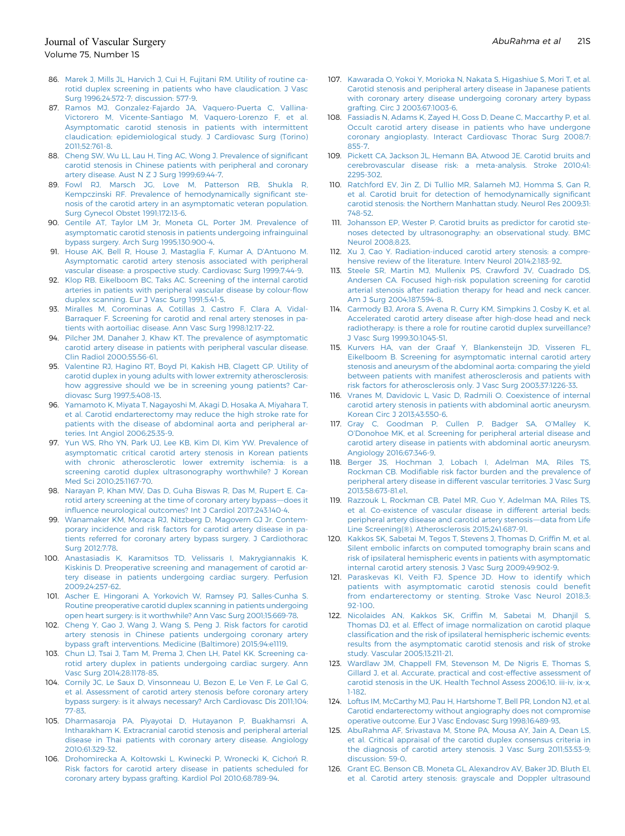- <span id="page-17-0"></span>86. [Marek J, Mills JL, Harvich J, Cui H, Fujitani RM. Utility of routine ca](http://refhub.elsevier.com/S0741-5214(21)00893-4/sref86)[rotid duplex screening in patients who have claudication. J Vasc](http://refhub.elsevier.com/S0741-5214(21)00893-4/sref86) [Surg 1996;24:572-7; discussion: 577-9](http://refhub.elsevier.com/S0741-5214(21)00893-4/sref86).
- <span id="page-17-1"></span>87. [Ramos MJ, Gonzalez-Fajardo JA, Vaquero-Puerta C, Vallina-](http://refhub.elsevier.com/S0741-5214(21)00893-4/sref87)[Victorero M, Vicente-Santiago M, Vaquero-Lorenzo F, et al.](http://refhub.elsevier.com/S0741-5214(21)00893-4/sref87) [Asymptomatic carotid stenosis in patients with intermittent](http://refhub.elsevier.com/S0741-5214(21)00893-4/sref87) [claudication: epidemiological study. J Cardiovasc Surg \(Torino\)](http://refhub.elsevier.com/S0741-5214(21)00893-4/sref87) [2011;52:761-8.](http://refhub.elsevier.com/S0741-5214(21)00893-4/sref87)
- <span id="page-17-2"></span>88. [Cheng SW, Wu LL, Lau H, Ting AC, Wong J. Prevalence of signi](http://refhub.elsevier.com/S0741-5214(21)00893-4/sref88)ficant [carotid stenosis in Chinese patients with peripheral and coronary](http://refhub.elsevier.com/S0741-5214(21)00893-4/sref88) [artery disease. Aust N Z J Surg 1999;69:44-7.](http://refhub.elsevier.com/S0741-5214(21)00893-4/sref88)
- 89. [Fowl RJ, Marsch JG, Love M, Patterson RB, Shukla R,](http://refhub.elsevier.com/S0741-5214(21)00893-4/sref89) [Kempczinski RF. Prevalence of hemodynamically signi](http://refhub.elsevier.com/S0741-5214(21)00893-4/sref89)ficant ste[nosis of the carotid artery in an asymptomatic veteran population.](http://refhub.elsevier.com/S0741-5214(21)00893-4/sref89) [Surg Gynecol Obstet 1991;172:13-6](http://refhub.elsevier.com/S0741-5214(21)00893-4/sref89).
- 90. [Gentile AT, Taylor LM Jr, Moneta GL, Porter JM. Prevalence of](http://refhub.elsevier.com/S0741-5214(21)00893-4/sref90) [asymptomatic carotid stenosis in patients undergoing infrainguinal](http://refhub.elsevier.com/S0741-5214(21)00893-4/sref90) [bypass surgery. Arch Surg 1995;130:900-4.](http://refhub.elsevier.com/S0741-5214(21)00893-4/sref90)
- 91. [House AK, Bell R, House J, Mastaglia F, Kumar A, D](http://refhub.elsevier.com/S0741-5214(21)00893-4/sref91)'Antuono M. [Asymptomatic carotid artery stenosis associated with peripheral](http://refhub.elsevier.com/S0741-5214(21)00893-4/sref91) [vascular disease: a prospective study. Cardiovasc Surg 1999;7:44-9.](http://refhub.elsevier.com/S0741-5214(21)00893-4/sref91)
- 92. [Klop RB, Eikelboom BC, Taks AC. Screening of the internal carotid](http://refhub.elsevier.com/S0741-5214(21)00893-4/sref92) [arteries in patients with peripheral vascular disease by colour-](http://refhub.elsevier.com/S0741-5214(21)00893-4/sref92)flow [duplex scanning. Eur J Vasc Surg 1991;5:41-5.](http://refhub.elsevier.com/S0741-5214(21)00893-4/sref92)
- 93. [Miralles M, Corominas A, Cotillas J, Castro F, Clara A, Vidal-](http://refhub.elsevier.com/S0741-5214(21)00893-4/sref93)[Barraquer F. Screening for carotid and renal artery stenoses in pa](http://refhub.elsevier.com/S0741-5214(21)00893-4/sref93)[tients with aortoiliac disease. Ann Vasc Surg 1998;12:17-22](http://refhub.elsevier.com/S0741-5214(21)00893-4/sref93).
- 94. [Pilcher JM, Danaher J, Khaw KT. The prevalence of asymptomatic](http://refhub.elsevier.com/S0741-5214(21)00893-4/sref94) [carotid artery disease in patients with peripheral vascular disease.](http://refhub.elsevier.com/S0741-5214(21)00893-4/sref94) [Clin Radiol 2000;55:56-61](http://refhub.elsevier.com/S0741-5214(21)00893-4/sref94).
- 95. [Valentine RJ, Hagino RT, Boyd PI, Kakish HB, Clagett GP. Utility of](http://refhub.elsevier.com/S0741-5214(21)00893-4/sref95) [carotid duplex in young adults with lower extremity atherosclerosis:](http://refhub.elsevier.com/S0741-5214(21)00893-4/sref95) [how aggressive should we be in screening young patients? Car](http://refhub.elsevier.com/S0741-5214(21)00893-4/sref95)[diovasc Surg 1997;5:408-13](http://refhub.elsevier.com/S0741-5214(21)00893-4/sref95).
- <span id="page-17-3"></span>96. [Yamamoto K, Miyata T, Nagayoshi M, Akagi D, Hosaka A, Miyahara T,](http://refhub.elsevier.com/S0741-5214(21)00893-4/sref96) [et al. Carotid endarterectomy may reduce the high stroke rate for](http://refhub.elsevier.com/S0741-5214(21)00893-4/sref96) [patients with the disease of abdominal aorta and peripheral ar](http://refhub.elsevier.com/S0741-5214(21)00893-4/sref96)[teries. Int Angiol 2006;25:35-9](http://refhub.elsevier.com/S0741-5214(21)00893-4/sref96).
- 97. [Yun WS, Rho YN, Park UJ, Lee KB, Kim DI, Kim YW. Prevalence of](http://refhub.elsevier.com/S0741-5214(21)00893-4/sref97) [asymptomatic critical carotid artery stenosis in Korean patients](http://refhub.elsevier.com/S0741-5214(21)00893-4/sref97) [with chronic atherosclerotic lower extremity ischemia: is a](http://refhub.elsevier.com/S0741-5214(21)00893-4/sref97) [screening carotid duplex ultrasonography worthwhile? J Korean](http://refhub.elsevier.com/S0741-5214(21)00893-4/sref97) [Med Sci 2010;25:1167-70](http://refhub.elsevier.com/S0741-5214(21)00893-4/sref97).
- <span id="page-17-4"></span>98. [Narayan P, Khan MW, Das D, Guha Biswas R, Das M, Rupert E. Ca](http://refhub.elsevier.com/S0741-5214(21)00893-4/sref98)[rotid artery screening at the time of coronary artery bypass](http://refhub.elsevier.com/S0741-5214(21)00893-4/sref98)-does it infl[uence neurological outcomes? Int J Cardiol 2017;243:140-4.](http://refhub.elsevier.com/S0741-5214(21)00893-4/sref98)
- 99. [Wanamaker KM, Moraca RJ, Nitzberg D, Magovern GJ Jr. Contem](http://refhub.elsevier.com/S0741-5214(21)00893-4/sref99)[porary incidence and risk factors for carotid artery disease in pa](http://refhub.elsevier.com/S0741-5214(21)00893-4/sref99)[tients referred for coronary artery bypass surgery. J Cardiothorac](http://refhub.elsevier.com/S0741-5214(21)00893-4/sref99) [Surg 2012;7:78.](http://refhub.elsevier.com/S0741-5214(21)00893-4/sref99)
- 100. [Anastasiadis K, Karamitsos TD, Velissaris I, Makrygiannakis K,](http://refhub.elsevier.com/S0741-5214(21)00893-4/sref100) [Kiskinis D. Preoperative screening and management of carotid ar](http://refhub.elsevier.com/S0741-5214(21)00893-4/sref100)[tery disease in patients undergoing cardiac surgery. Perfusion](http://refhub.elsevier.com/S0741-5214(21)00893-4/sref100) [2009;24:257-62.](http://refhub.elsevier.com/S0741-5214(21)00893-4/sref100)
- 101. [Ascher E, Hingorani A, Yorkovich W, Ramsey PJ, Salles-Cunha S.](http://refhub.elsevier.com/S0741-5214(21)00893-4/sref101) [Routine preoperative carotid duplex scanning in patients undergoing](http://refhub.elsevier.com/S0741-5214(21)00893-4/sref101) [open heart surgery: is it worthwhile? Ann Vasc Surg 2001;15:669-78.](http://refhub.elsevier.com/S0741-5214(21)00893-4/sref101)
- 102. [Cheng Y, Gao J, Wang J, Wang S, Peng J. Risk factors for carotid](http://refhub.elsevier.com/S0741-5214(21)00893-4/sref102) [artery stenosis in Chinese patients undergoing coronary artery](http://refhub.elsevier.com/S0741-5214(21)00893-4/sref102) [bypass graft interventions. Medicine \(Baltimore\) 2015;94:e1119.](http://refhub.elsevier.com/S0741-5214(21)00893-4/sref102)
- 103. [Chun LJ, Tsai J, Tam M, Prema J, Chen LH, Patel KK. Screening ca](http://refhub.elsevier.com/S0741-5214(21)00893-4/sref103)[rotid artery duplex in patients undergoing cardiac surgery. Ann](http://refhub.elsevier.com/S0741-5214(21)00893-4/sref103) [Vasc Surg 2014;28:1178-85](http://refhub.elsevier.com/S0741-5214(21)00893-4/sref103).
- <span id="page-17-6"></span>104. [Cornily JC, Le Saux D, Vinsonneau U, Bezon E, Le Ven F, Le Gal G,](http://refhub.elsevier.com/S0741-5214(21)00893-4/sref104) [et al. Assessment of carotid artery stenosis before coronary artery](http://refhub.elsevier.com/S0741-5214(21)00893-4/sref104) [bypass surgery: is it always necessary? Arch Cardiovasc Dis 2011;104:](http://refhub.elsevier.com/S0741-5214(21)00893-4/sref104) [77-83](http://refhub.elsevier.com/S0741-5214(21)00893-4/sref104).
- 105. [Dharmasaroja PA, Piyayotai D, Hutayanon P, Buakhamsri A,](http://refhub.elsevier.com/S0741-5214(21)00893-4/sref105) [Intharakham K. Extracranial carotid stenosis and peripheral arterial](http://refhub.elsevier.com/S0741-5214(21)00893-4/sref105) [disease in Thai patients with coronary artery disease. Angiology](http://refhub.elsevier.com/S0741-5214(21)00893-4/sref105) [2010;61:329-32](http://refhub.elsevier.com/S0741-5214(21)00893-4/sref105).
- 106. [Drohomirecka A, Ko](http://refhub.elsevier.com/S0741-5214(21)00893-4/sref106)ł[towski L, Kwinecki P, Wronecki K, Cicho](http://refhub.elsevier.com/S0741-5214(21)00893-4/sref106)ń [R.](http://refhub.elsevier.com/S0741-5214(21)00893-4/sref106) [Risk factors for carotid artery disease in patients scheduled for](http://refhub.elsevier.com/S0741-5214(21)00893-4/sref106) [coronary artery bypass grafting. Kardiol Pol 2010;68:789-94.](http://refhub.elsevier.com/S0741-5214(21)00893-4/sref106)
- 107. [Kawarada O, Yokoi Y, Morioka N, Nakata S, Higashiue S, Mori T, et al.](http://refhub.elsevier.com/S0741-5214(21)00893-4/sref107) [Carotid stenosis and peripheral artery disease in Japanese patients](http://refhub.elsevier.com/S0741-5214(21)00893-4/sref107) [with coronary artery disease undergoing coronary artery bypass](http://refhub.elsevier.com/S0741-5214(21)00893-4/sref107) [grafting. Circ J 2003;67:1003-6.](http://refhub.elsevier.com/S0741-5214(21)00893-4/sref107)
- <span id="page-17-5"></span>108. [Fassiadis N, Adams K, Zayed H, Goss D, Deane C, Maccarthy P, et al.](http://refhub.elsevier.com/S0741-5214(21)00893-4/sref108) [Occult carotid artery disease in patients who have undergone](http://refhub.elsevier.com/S0741-5214(21)00893-4/sref108) [coronary angioplasty. Interact Cardiovasc Thorac Surg 2008;7:](http://refhub.elsevier.com/S0741-5214(21)00893-4/sref108) [855-7](http://refhub.elsevier.com/S0741-5214(21)00893-4/sref108).
- <span id="page-17-7"></span>109. [Pickett CA, Jackson JL, Hemann BA, Atwood JE. Carotid bruits and](http://refhub.elsevier.com/S0741-5214(21)00893-4/sref109) [cerebrovascular disease risk: a meta-analysis. Stroke 2010;41:](http://refhub.elsevier.com/S0741-5214(21)00893-4/sref109) [2295-302](http://refhub.elsevier.com/S0741-5214(21)00893-4/sref109).
- <span id="page-17-8"></span>110. [Ratchford EV, Jin Z, Di Tullio MR, Salameh MJ, Homma S, Gan R,](http://refhub.elsevier.com/S0741-5214(21)00893-4/sref110) [et al. Carotid bruit for detection of hemodynamically signi](http://refhub.elsevier.com/S0741-5214(21)00893-4/sref110)ficant [carotid stenosis: the Northern Manhattan study. Neurol Res 2009;31:](http://refhub.elsevier.com/S0741-5214(21)00893-4/sref110) [748-52.](http://refhub.elsevier.com/S0741-5214(21)00893-4/sref110)
- <span id="page-17-9"></span>111. [Johansson EP, Wester P. Carotid bruits as predictor for carotid ste](http://refhub.elsevier.com/S0741-5214(21)00893-4/sref111)[noses detected by ultrasonography: an observational study. BMC](http://refhub.elsevier.com/S0741-5214(21)00893-4/sref111) [Neurol 2008;8:23.](http://refhub.elsevier.com/S0741-5214(21)00893-4/sref111)
- <span id="page-17-10"></span>112. [Xu J, Cao Y. Radiation-induced carotid artery stenosis: a compre](http://refhub.elsevier.com/S0741-5214(21)00893-4/sref112)[hensive review of the literature. Interv Neurol 2014;2:183-92.](http://refhub.elsevier.com/S0741-5214(21)00893-4/sref112)
- <span id="page-17-11"></span>113. [Steele SR, Martin MJ, Mullenix PS, Crawford JV, Cuadrado DS,](http://refhub.elsevier.com/S0741-5214(21)00893-4/sref113) [Andersen CA. Focused high-risk population screening for carotid](http://refhub.elsevier.com/S0741-5214(21)00893-4/sref113) [arterial stenosis after radiation therapy for head and neck cancer.](http://refhub.elsevier.com/S0741-5214(21)00893-4/sref113) [Am J Surg 2004;187:594-8](http://refhub.elsevier.com/S0741-5214(21)00893-4/sref113).
- <span id="page-17-12"></span>114. [Carmody BJ, Arora S, Avena R, Curry KM, Simpkins J, Cosby K, et al.](http://refhub.elsevier.com/S0741-5214(21)00893-4/sref114) [Accelerated carotid artery disease after high-dose head and neck](http://refhub.elsevier.com/S0741-5214(21)00893-4/sref114) [radiotherapy: is there a role for routine carotid duplex surveillance?](http://refhub.elsevier.com/S0741-5214(21)00893-4/sref114) [J Vasc Surg 1999;30:1045-51](http://refhub.elsevier.com/S0741-5214(21)00893-4/sref114).
- <span id="page-17-13"></span>115. [Kurvers HA, van der Graaf Y, Blankensteijn JD, Visseren FL,](http://refhub.elsevier.com/S0741-5214(21)00893-4/sref115) [Eikelboom B. Screening for asymptomatic internal carotid artery](http://refhub.elsevier.com/S0741-5214(21)00893-4/sref115) [stenosis and aneurysm of the abdominal aorta: comparing the yield](http://refhub.elsevier.com/S0741-5214(21)00893-4/sref115) [between patients with manifest atherosclerosis and patients with](http://refhub.elsevier.com/S0741-5214(21)00893-4/sref115) [risk factors for atherosclerosis only. J Vasc Surg 2003;37:1226-33](http://refhub.elsevier.com/S0741-5214(21)00893-4/sref115).
- <span id="page-17-14"></span>116. [Vranes M, Davidovic L, Vasic D, Radmili O. Coexistence of internal](http://refhub.elsevier.com/S0741-5214(21)00893-4/sref116) [carotid artery stenosis in patients with abdominal aortic aneurysm.](http://refhub.elsevier.com/S0741-5214(21)00893-4/sref116) [Korean Circ J 2013;43:550-6.](http://refhub.elsevier.com/S0741-5214(21)00893-4/sref116)
- <span id="page-17-15"></span>117. [Gray C, Goodman P, Cullen P, Badger SA, O](http://refhub.elsevier.com/S0741-5214(21)00893-4/sref117)'Malley K, O'[Donohoe MK, et al. Screening for peripheral arterial disease and](http://refhub.elsevier.com/S0741-5214(21)00893-4/sref117) [carotid artery disease in patients with abdominal aortic aneurysm.](http://refhub.elsevier.com/S0741-5214(21)00893-4/sref117) [Angiology 2016;67:346-9](http://refhub.elsevier.com/S0741-5214(21)00893-4/sref117).
- <span id="page-17-16"></span>118. [Berger JS, Hochman J, Lobach I, Adelman MA, Riles TS,](http://refhub.elsevier.com/S0741-5214(21)00893-4/sref118) Rockman CB. Modifi[able risk factor burden and the prevalence of](http://refhub.elsevier.com/S0741-5214(21)00893-4/sref118) [peripheral artery disease in different vascular territories. J Vasc Surg](http://refhub.elsevier.com/S0741-5214(21)00893-4/sref118) [2013;58:673-81.e1](http://refhub.elsevier.com/S0741-5214(21)00893-4/sref118).
- <span id="page-17-17"></span>119. [Razzouk L, Rockman CB, Patel MR, Guo Y, Adelman MA, Riles TS,](http://refhub.elsevier.com/S0741-5214(21)00893-4/sref119) [et al. Co-existence of vascular disease in different arterial beds:](http://refhub.elsevier.com/S0741-5214(21)00893-4/sref119) [peripheral artery disease and carotid artery stenosis](http://refhub.elsevier.com/S0741-5214(21)00893-4/sref119)-data from Life [Line Screening\(](http://refhub.elsevier.com/S0741-5214(21)00893-4/sref119)®[\). Atherosclerosis 2015;241:687-91.](http://refhub.elsevier.com/S0741-5214(21)00893-4/sref119)
- <span id="page-17-18"></span>120. [Kakkos SK, Sabetai M, Tegos T, Stevens J, Thomas D, Grif](http://refhub.elsevier.com/S0741-5214(21)00893-4/sref120)fin M, et al. [Silent embolic infarcts on computed tomography brain scans and](http://refhub.elsevier.com/S0741-5214(21)00893-4/sref120) [risk of ipsilateral hemispheric events in patients with asymptomatic](http://refhub.elsevier.com/S0741-5214(21)00893-4/sref120) [internal carotid artery stenosis. J Vasc Surg 2009;49:902-9.](http://refhub.elsevier.com/S0741-5214(21)00893-4/sref120)
- <span id="page-17-19"></span>121. [Paraskevas KI, Veith FJ, Spence JD. How to identify which](http://refhub.elsevier.com/S0741-5214(21)00893-4/sref121) [patients with asymptomatic carotid stenosis could bene](http://refhub.elsevier.com/S0741-5214(21)00893-4/sref121)fit [from endarterectomy or stenting. Stroke Vasc Neurol 2018;3:](http://refhub.elsevier.com/S0741-5214(21)00893-4/sref121) [92-100](http://refhub.elsevier.com/S0741-5214(21)00893-4/sref121).
- <span id="page-17-20"></span>122. [Nicolaides AN, Kakkos SK, Grif](http://refhub.elsevier.com/S0741-5214(21)00893-4/sref122)fin M, Sabetai M, Dhanjil S, [Thomas DJ, et al. Effect of image normalization on carotid plaque](http://refhub.elsevier.com/S0741-5214(21)00893-4/sref122) classifi[cation and the risk of ipsilateral hemispheric ischemic events:](http://refhub.elsevier.com/S0741-5214(21)00893-4/sref122) [results from the asymptomatic carotid stenosis and risk of stroke](http://refhub.elsevier.com/S0741-5214(21)00893-4/sref122) [study. Vascular 2005;13:211-21.](http://refhub.elsevier.com/S0741-5214(21)00893-4/sref122)
- <span id="page-17-21"></span>123. [Wardlaw JM, Chappell FM, Stevenson M, De Nigris E, Thomas S,](http://refhub.elsevier.com/S0741-5214(21)00893-4/sref123) [Gillard J, et al. Accurate, practical and cost-effective assessment of](http://refhub.elsevier.com/S0741-5214(21)00893-4/sref123) [carotid stenosis in the UK. Health Technol Assess 2006;10. iii-iv, ix-x,](http://refhub.elsevier.com/S0741-5214(21)00893-4/sref123) [1-182](http://refhub.elsevier.com/S0741-5214(21)00893-4/sref123).
- <span id="page-17-22"></span>124. [Loftus IM, McCarthy MJ, Pau H, Hartshorne T, Bell PR, London NJ, et al.](http://refhub.elsevier.com/S0741-5214(21)00893-4/sref124) [Carotid endarterectomy without angiography does not compromise](http://refhub.elsevier.com/S0741-5214(21)00893-4/sref124) [operative outcome. Eur J Vasc Endovasc Surg 1998;16:489-93](http://refhub.elsevier.com/S0741-5214(21)00893-4/sref124).
- <span id="page-17-23"></span>125. [AbuRahma AF, Srivastava M, Stone PA, Mousa AY, Jain A, Dean LS,](http://refhub.elsevier.com/S0741-5214(21)00893-4/sref125) [et al. Critical appraisal of the carotid duplex consensus criteria in](http://refhub.elsevier.com/S0741-5214(21)00893-4/sref125) [the diagnosis of carotid artery stenosis. J Vasc Surg 2011;53:53-9;](http://refhub.elsevier.com/S0741-5214(21)00893-4/sref125) [discussion: 59-0](http://refhub.elsevier.com/S0741-5214(21)00893-4/sref125).
- <span id="page-17-24"></span>126. [Grant EG, Benson CB, Moneta GL, Alexandrov AV, Baker JD, Bluth EI,](http://refhub.elsevier.com/S0741-5214(21)00893-4/sref126) [et al. Carotid artery stenosis: grayscale and Doppler ultrasound](http://refhub.elsevier.com/S0741-5214(21)00893-4/sref126)